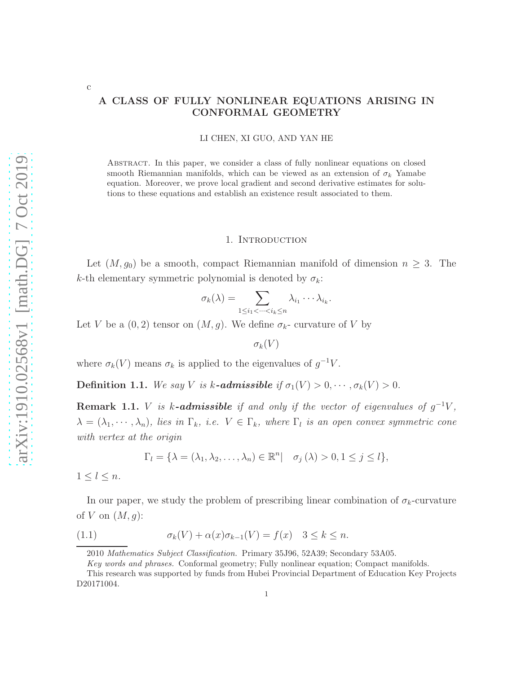# A CLASS OF FULLY NONLINEAR EQUATIONS ARISING IN CONFORMAL GEOMETRY

LI CHEN, XI GUO, AND YAN HE

Abstract. In this paper, we consider a class of fully nonlinear equations on closed smooth Riemannian manifolds, which can be viewed as an extension of  $\sigma_k$  Yamabe equation. Moreover, we prove local gradient and second derivative estimates for solutions to these equations and establish an existence result associated to them.

#### 1. Introduction

Let  $(M, g_0)$  be a smooth, compact Riemannian manifold of dimension  $n \geq 3$ . The k-th elementary symmetric polynomial is denoted by  $\sigma_k$ :

$$
\sigma_k(\lambda) = \sum_{1 \leq i_1 < \dots < i_k \leq n} \lambda_{i_1} \dotsm \lambda_{i_k}.
$$

Let V be a  $(0, 2)$  tensor on  $(M, g)$ . We define  $\sigma_{k}$ - curvature of V by

 $\sigma_k(V)$ 

where  $\sigma_k(V)$  means  $\sigma_k$  is applied to the eigenvalues of  $g^{-1}V$ .

Definition 1.1. We say V is k-admissible if  $\sigma_1(V) > 0, \cdots, \sigma_k(V) > 0$ .

**Remark 1.1.** V is k-admissible if and only if the vector of eigenvalues of  $g^{-1}V$ ,  $\lambda = (\lambda_1, \cdots, \lambda_n)$ , lies in  $\Gamma_k$ , i.e.  $V \in \Gamma_k$ , where  $\Gamma_l$  is an open convex symmetric cone with vertex at the origin

<span id="page-0-0"></span>
$$
\Gamma_l = \{ \lambda = (\lambda_1, \lambda_2, \dots, \lambda_n) \in \mathbb{R}^n \mid \sigma_j(\lambda) > 0, 1 \le j \le l \},\
$$

 $1 \leq l \leq n$ .

c

In our paper, we study the problem of prescribing linear combination of  $\sigma_k$ -curvature of V on  $(M, g)$ :

(1.1) 
$$
\sigma_k(V) + \alpha(x)\sigma_{k-1}(V) = f(x) \quad 3 \le k \le n.
$$

<sup>2010</sup> Mathematics Subject Classification. Primary 35J96, 52A39; Secondary 53A05.

Key words and phrases. Conformal geometry; Fully nonlinear equation; Compact manifolds.

This research was supported by funds from Hubei Provincial Department of Education Key Projects D20171004.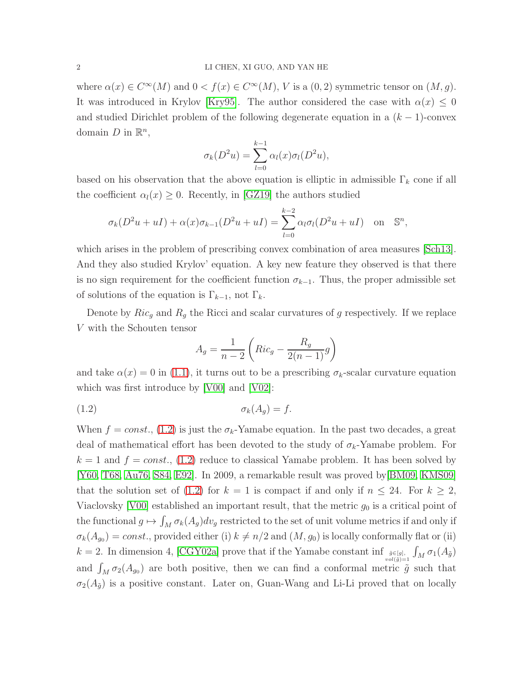where  $\alpha(x) \in C^{\infty}(M)$  and  $0 < f(x) \in C^{\infty}(M)$ , V is a  $(0, 2)$  symmetric tensor on  $(M, g)$ . It was introduced in Krylov [\[Kry95\]](#page-27-0). The author considered the case with  $\alpha(x) \leq 0$ and studied Dirichlet problem of the following degenerate equation in a  $(k-1)$ -convex domain  $D$  in  $\mathbb{R}^n$ ,

$$
\sigma_k(D^2u) = \sum_{l=0}^{k-1} \alpha_l(x)\sigma_l(D^2u),
$$

based on his observation that the above equation is elliptic in admissible  $\Gamma_k$  cone if all the coefficient  $\alpha_l(x) \geq 0$ . Recently, in [\[GZ19\]](#page-27-1) the authors studied

$$
\sigma_k(D^2u+uI) + \alpha(x)\sigma_{k-1}(D^2u+uI) = \sum_{l=0}^{k-2} \alpha_l \sigma_l(D^2u+uI) \quad \text{on} \quad \mathbb{S}^n,
$$

which arises in the problem of prescribing convex combination of area measures [\[Sch13\]](#page-28-0). And they also studied Krylov' equation. A key new feature they observed is that there is no sign requirement for the coefficient function  $\sigma_{k-1}$ . Thus, the proper admissible set of solutions of the equation is  $\Gamma_{k-1}$ , not  $\Gamma_k$ .

Denote by  $Ric_g$  and  $R_g$  the Ricci and scalar curvatures of g respectively. If we replace V with the Schouten tensor

<span id="page-1-0"></span>
$$
A_g = \frac{1}{n-2} \left( Ric_g - \frac{R_g}{2(n-1)} g \right)
$$

and take  $\alpha(x) = 0$  in [\(1.1\)](#page-0-0), it turns out to be a prescribing  $\sigma_k$ -scalar curvature equation which was first introduce by [\[V00\]](#page-28-1) and [\[V02\]](#page-28-2):

$$
\sigma_k(A_g) = f.
$$

When  $f = const.$ , [\(1.2\)](#page-1-0) is just the  $\sigma_k$ -Yamabe equation. In the past two decades, a great deal of mathematical effort has been devoted to the study of  $\sigma_k$ -Yamabe problem. For  $k = 1$  and  $f = const.$ , [\(1.2\)](#page-1-0) reduce to classical Yamabe problem. It has been solved by [\[Y60,](#page-28-3) [T68,](#page-28-4) [Au76,](#page-26-0) [S84,](#page-27-2) [E92\]](#page-26-1). In 2009, a remarkable result was proved by[\[BM09,](#page-26-2) [KMS09\]](#page-27-3) that the solution set of [\(1.2\)](#page-1-0) for  $k = 1$  is compact if and only if  $n \leq 24$ . For  $k \geq 2$ , Viaclovsky [\[V00\]](#page-28-1) established an important result, that the metric  $g_0$  is a critical point of the functional  $g \mapsto \int_M \sigma_k(A_g) dv_g$  restricted to the set of unit volume metrics if and only if  $\sigma_k(A_{g_0}) = const.$ , provided either (i)  $k \neq n/2$  and  $(M, g_0)$  is locally conformally flat or (ii)  $k = 2$ . In dimension 4, [\[CGY02a\]](#page-26-3) prove that if the Yamabe constant inf  $\frac{\tilde{g} \in [g]}{vol(\tilde{g})=1}$  $\int_M \sigma_1(A_{\tilde{g}})$ and  $\int_M \sigma_2(A_{g_0})$  are both positive, then we can find a conformal metric  $\tilde{g}$  such that  $\sigma_2(A_{\tilde{g}})$  is a positive constant. Later on, Guan-Wang and Li-Li proved that on locally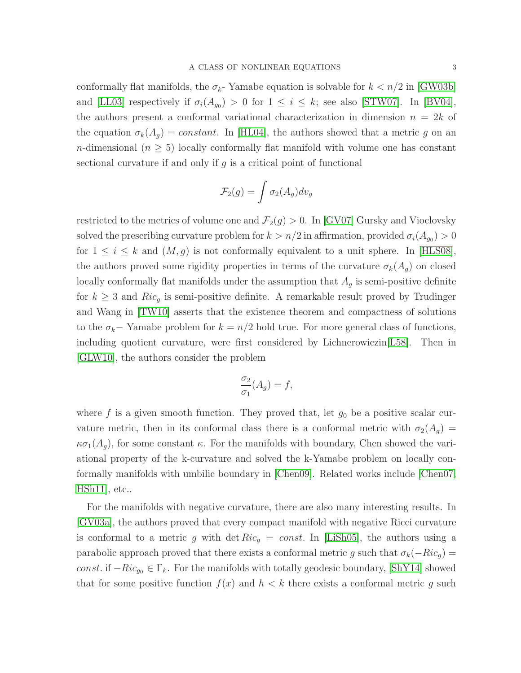conformally flat manifolds, the  $\sigma_{k}$ - Yamabe equation is solvable for  $k < n/2$  in [\[GW03b\]](#page-27-4) and [\[LL03\]](#page-27-5) respectively if  $\sigma_i(A_{g_0}) > 0$  for  $1 \leq i \leq k$ ; see also [\[STW07\]](#page-28-5). In [\[BV04\]](#page-26-4), the authors present a conformal variational characterization in dimension  $n = 2k$  of the equation  $\sigma_k(A_g) = constant$ . In [\[HL04\]](#page-27-6), the authors showed that a metric g on an *n*-dimensional ( $n \geq 5$ ) locally conformally flat manifold with volume one has constant sectional curvature if and only if  $g$  is a critical point of functional

$$
\mathcal{F}_2(g) = \int \sigma_2(A_g) dv_g
$$

restricted to the metrics of volume one and  $\mathcal{F}_2(g) > 0$ . In [\[GV07\]](#page-26-5) Gursky and Vioclovsky solved the prescribing curvature problem for  $k > n/2$  in affirmation, provided  $\sigma_i(A_{g_0}) > 0$ for  $1 \leq i \leq k$  and  $(M, g)$  is not conformally equivalent to a unit sphere. In [\[HLS08\]](#page-27-7), the authors proved some rigidity properties in terms of the curvature  $\sigma_k(A_q)$  on closed locally conformally flat manifolds under the assumption that  $A<sub>g</sub>$  is semi-positive definite for  $k \geq 3$  and  $Ric<sub>g</sub>$  is semi-positive definite. A remarkable result proved by Trudinger and Wang in [\[TW10\]](#page-28-6) asserts that the existence theorem and compactness of solutions to the  $\sigma_k$ − Yamabe problem for  $k = n/2$  hold true. For more general class of functions, including quotient curvature, were first considered by Lichnerowiczin[\[L58\]](#page-27-8). Then in [\[GLW10\]](#page-27-9), the authors consider the problem

$$
\frac{\sigma_2}{\sigma_1}(A_g) = f,
$$

where f is a given smooth function. They proved that, let  $g_0$  be a positive scalar curvature metric, then in its conformal class there is a conformal metric with  $\sigma_2(A_g)$  $\kappa\sigma_1(A_q)$ , for some constant  $\kappa$ . For the manifolds with boundary, Chen showed the variational property of the k-curvature and solved the k-Yamabe problem on locally conformally manifolds with umbilic boundary in [\[Chen09\]](#page-26-6). Related works include [\[Chen07,](#page-26-7) [HSh11\]](#page-27-10), etc..

For the manifolds with negative curvature, there are also many interesting results. In [\[GV03a\]](#page-26-8), the authors proved that every compact manifold with negative Ricci curvature is conformal to a metric g with det  $Ric_q = const.$  In [\[LiSh05\]](#page-27-11), the authors using a parabolic approach proved that there exists a conformal metric g such that  $\sigma_k(-Ric_g)$  = const. if  $-Ric_{g_0} \in \Gamma_k$ . For the manifolds with totally geodesic boundary, [\[ShY14\]](#page-28-7) showed that for some positive function  $f(x)$  and  $h < k$  there exists a conformal metric g such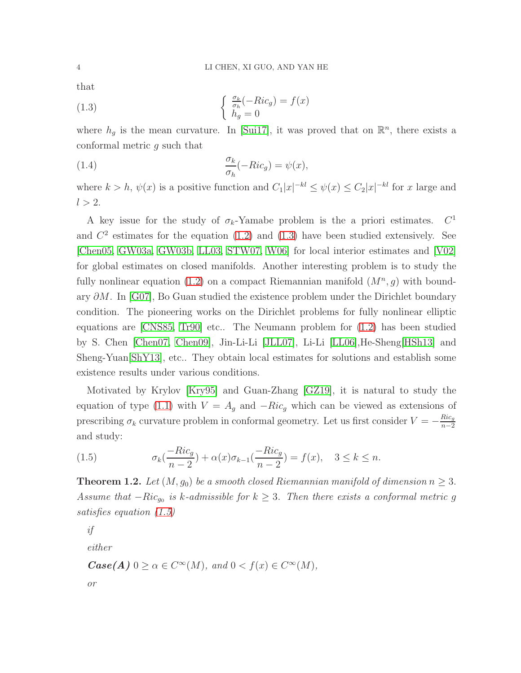that

<span id="page-3-0"></span>(1.3) 
$$
\begin{cases} \frac{\sigma_k}{\sigma_h}(-Ric_g) = f(x) \\ h_g = 0 \end{cases}
$$

where  $h_g$  is the mean curvature. In [\[Sui17\]](#page-28-8), it was proved that on  $\mathbb{R}^n$ , there exists a conformal metric g such that

(1.4) 
$$
\frac{\sigma_k}{\sigma_h}(-Ric_g) = \psi(x),
$$

where  $k > h$ ,  $\psi(x)$  is a positive function and  $C_1|x|^{-kl} \leq \psi(x) \leq C_2|x|^{-kl}$  for x large and  $l > 2$ .

A key issue for the study of  $\sigma_k$ -Yamabe problem is the a priori estimates.  $C^1$ and  $C<sup>2</sup>$  estimates for the equation [\(1.2\)](#page-1-0) and [\(1.3\)](#page-3-0) have been studied extensively. See [\[Chen05,](#page-26-9) [GW03a,](#page-27-12) [GW03b,](#page-27-4) [LL03,](#page-27-5) [STW07,](#page-28-5) [W06\]](#page-28-9) for local interior estimates and [\[V02\]](#page-28-2) for global estimates on closed manifolds. Another interesting problem is to study the fully nonlinear equation [\(1.2\)](#page-1-0) on a compact Riemannian manifold  $(M^n, g)$  with boundary ∂M. In [\[G07\]](#page-26-10), Bo Guan studied the existence problem under the Dirichlet boundary condition. The pioneering works on the Dirichlet problems for fully nonlinear elliptic equations are [\[CNS85,](#page-26-11) [Tr90\]](#page-28-10) etc.. The Neumann problem for [\(1.2\)](#page-1-0) has been studied by S. Chen [\[Chen07,](#page-26-7) [Chen09\]](#page-26-6), Jin-Li-Li [\[JLL07\]](#page-27-13), Li-Li [\[LL06\]](#page-27-14),He-Sheng[\[HSh13\]](#page-27-15) and Sheng-Yuan[\[ShY13\]](#page-28-11), etc.. They obtain local estimates for solutions and establish some existence results under various conditions.

Motivated by Krylov [\[Kry95\]](#page-27-0) and Guan-Zhang [\[GZ19\]](#page-27-1), it is natural to study the equation of type [\(1.1\)](#page-0-0) with  $V = A_q$  and  $-Ric_q$  which can be viewed as extensions of prescribing  $\sigma_k$  curvature problem in conformal geometry. Let us first consider  $V = -\frac{Ric_g}{n-2}$  $n-2$ and study:

<span id="page-3-1"></span>(1.5) 
$$
\sigma_k(\frac{-Ric_g}{n-2}) + \alpha(x)\sigma_{k-1}(\frac{-Ric_g}{n-2}) = f(x), \quad 3 \le k \le n.
$$

<span id="page-3-2"></span>**Theorem 1.2.** Let  $(M, g_0)$  be a smooth closed Riemannian manifold of dimension  $n \geq 3$ . Assume that  $-Ric_{g_0}$  is k-admissible for  $k \geq 3$ . Then there exists a conformal metric g satisfies equation [\(1.5\)](#page-3-1)

if

either

 $\textbf{Case}(A) \ 0 \ge \alpha \in C^{\infty}(M)$ , and  $0 < f(x) \in C^{\infty}(M)$ ,

or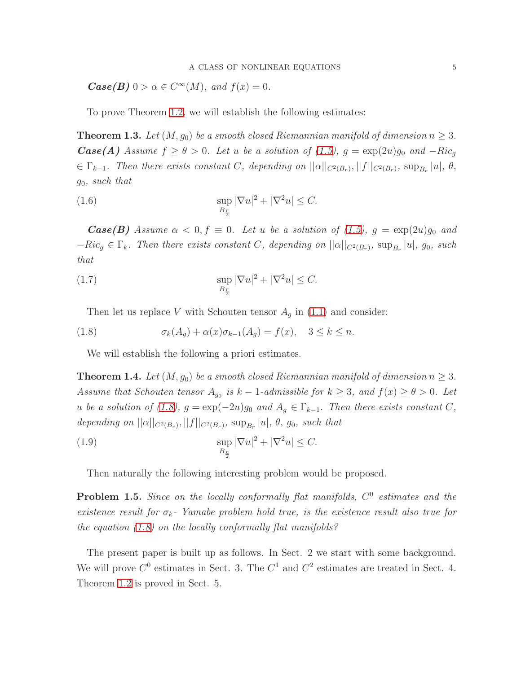$\text{Case}(B) \ 0 > \alpha \in C^{\infty}(M)$ , and  $f(x) = 0$ .

To prove Theorem [1.2,](#page-3-2) we will establish the following estimates:

**Theorem 1.3.** Let  $(M, g_0)$  be a smooth closed Riemannian manifold of dimension  $n \geq 3$ . **Case(A)** Assume  $f \ge \theta > 0$ . Let u be a solution of [\(1.5\)](#page-3-1),  $g = \exp(2u)g_0$  and  $-Ric_g$  $\in \Gamma_{k-1}$ . Then there exists constant C, depending on  $||\alpha||_{C^2(B_r)}, ||f||_{C^2(B_r)}, \sup_{B_r} |u|, \theta$ , g0, such that

(1.6) 
$$
\sup_{B_{\frac{r}{2}}} |\nabla u|^2 + |\nabla^2 u| \leq C.
$$

**Case(B)** Assume  $\alpha < 0, f \equiv 0$ . Let u be a solution of [\(1.5\)](#page-3-1),  $g = \exp(2u)g_0$  and  $-Ric_g \in \Gamma_k$ . Then there exists constant C, depending on  $||\alpha||_{C^2(B_r)}$ ,  $\sup_{B_r}|u|$ ,  $g_0$ , such that

(1.7) 
$$
\sup_{B_{\frac{r}{2}}} |\nabla u|^2 + |\nabla^2 u| \leq C.
$$

<span id="page-4-0"></span>Then let us replace V with Schouten tensor  $A<sub>q</sub>$  in [\(1.1\)](#page-0-0) and consider:

(1.8) 
$$
\sigma_k(A_g) + \alpha(x)\sigma_{k-1}(A_g) = f(x), \quad 3 \le k \le n.
$$

We will establish the following a priori estimates.

<span id="page-4-1"></span>**Theorem 1.4.** Let  $(M, g_0)$  be a smooth closed Riemannian manifold of dimension  $n \geq 3$ . Assume that Schouten tensor  $A_{g_0}$  is  $k-1$ -admissible for  $k \geq 3$ , and  $f(x) \geq \theta > 0$ . Let u be a solution of [\(1.8\)](#page-4-0),  $g = \exp(-2u)g_0$  and  $A_g \in \Gamma_{k-1}$ . Then there exists constant C, depending on  $||\alpha||_{C^2(B_r)}, ||f||_{C^2(B_r)}, \sup_{B_r}|u|, \theta, g_0$ , such that

(1.9) 
$$
\sup_{B_{\frac{r}{2}}} |\nabla u|^2 + |\nabla^2 u| \leq C.
$$

Then naturally the following interesting problem would be proposed.

**Problem 1.5.** Since on the locally conformally flat manifolds,  $C^0$  estimates and the existence result for  $\sigma_k$ - Yamabe problem hold true, is the existence result also true for the equation  $(1.8)$  on the locally conformally flat manifolds?

The present paper is built up as follows. In Sect. 2 we start with some background. We will prove  $C^0$  estimates in Sect. 3. The  $C^1$  and  $C^2$  estimates are treated in Sect. 4. Theorem [1.2](#page-3-2) is proved in Sect. 5.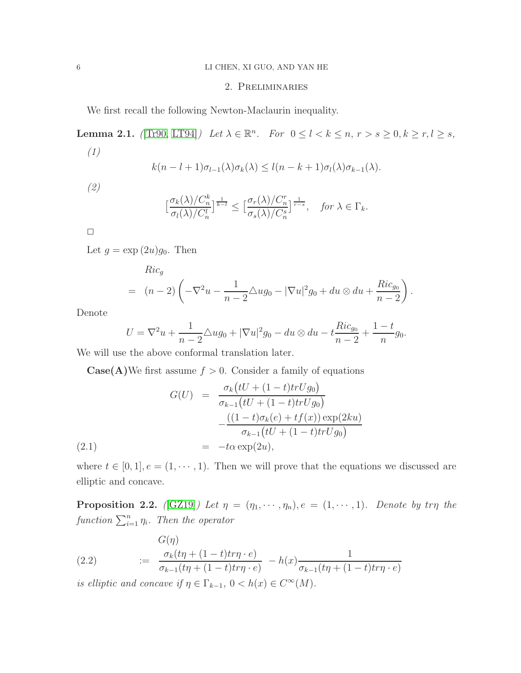#### 6 LI CHEN, XI GUO, AND YAN HE

### 2. Preliminaries

We first recall the following Newton-Maclaurin inequality.

<span id="page-5-0"></span>**Lemma 2.1.** ([\[Tr90,](#page-28-10) [LT94\]](#page-27-16)) Let  $\lambda \in \mathbb{R}^n$ . For  $0 \leq l \leq k \leq n$ ,  $r > s \geq 0$ ,  $k \geq r$ ,  $l \geq s$ , (1)

$$
k(n-l+1)\sigma_{l-1}(\lambda)\sigma_k(\lambda) \leq l(n-k+1)\sigma_l(\lambda)\sigma_{k-1}(\lambda).
$$

(2)

$$
\left[\frac{\sigma_k(\lambda)/C_n^k}{\sigma_l(\lambda)/C_n^l}\right]^{\frac{1}{k-l}} \le \left[\frac{\sigma_r(\lambda)/C_n^r}{\sigma_s(\lambda)/C_n^s}\right]^{\frac{1}{r-s}}, \quad \text{for } \lambda \in \Gamma_k.
$$

 $\Box$ 

Let  $g = \exp(2u)g_0$ . Then

$$
Ric_g
$$
  
=  $(n-2)\left(-\nabla^2 u - \frac{1}{n-2}\Delta u g_0 - |\nabla u|^2 g_0 + du \otimes du + \frac{Ric_{g_0}}{n-2}\right).$ 

Denote

<span id="page-5-1"></span>
$$
U = \nabla^2 u + \frac{1}{n-2} \Delta u g_0 + |\nabla u|^2 g_0 - du \otimes du - t \frac{Ric_{g_0}}{n-2} + \frac{1-t}{n} g_0.
$$

We will use the above conformal translation later.

**Case(A)**We first assume  $f > 0$ . Consider a family of equations

(2.1) 
$$
G(U) = \frac{\sigma_k \left(tU + (1-t)trUg_0\right)}{\sigma_{k-1}\left(tU + (1-t)trUg_0\right)} - \frac{\left((1-t)\sigma_k(e) + tf(x)\right)\exp(2ku)}{\sigma_{k-1}\left(tU + (1-t)trUg_0\right)} = -t\alpha \exp(2u),
$$

where  $t \in [0, 1], e = (1, \dots, 1)$ . Then we will prove that the equations we discussed are elliptic and concave.

**Proposition 2.2.** ([\[GZ19\]](#page-27-1)) Let  $\eta = (\eta_1, \dots, \eta_n), e = (1, \dots, 1)$ . Denote by tr $\eta$  the function  $\sum_{i=1}^n \eta_i$ . Then the operator

(2.2) 
$$
\frac{G(\eta)}{\sigma_{k-1}(t\eta + (1-t)t\tau\eta \cdot e)} = \frac{\sigma_k(t\eta + (1-t)t\tau\eta \cdot e)}{\sigma_{k-1}(t\eta + (1-t)t\tau\eta \cdot e)} - h(x)\frac{1}{\sigma_{k-1}(t\eta + (1-t)t\tau\eta \cdot e)}
$$

is elliptic and concave if  $\eta \in \Gamma_{k-1}$ ,  $0 < h(x) \in C^{\infty}(M)$ .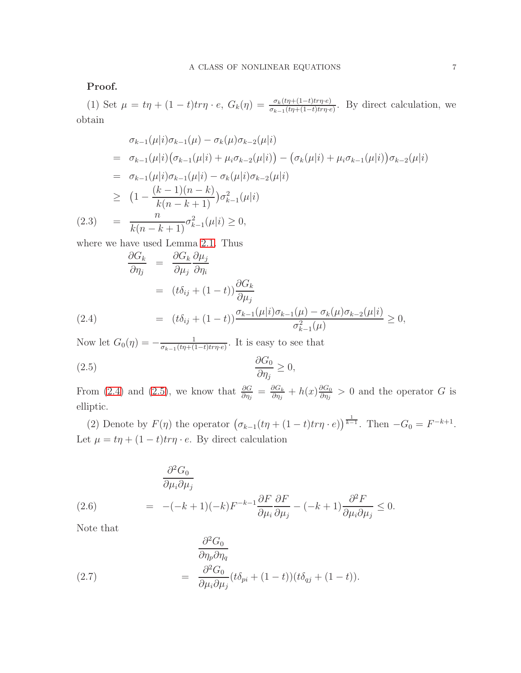Proof.

(1) Set  $\mu = t\eta + (1-t)t\eta \cdot e$ ,  $G_k(\eta) = \frac{\sigma_k(t\eta + (1-t)t\eta \cdot e)}{\sigma_{k-1}(t\eta + (1-t)t\eta \cdot e)}$ . By direct calculation, we obtain

$$
\sigma_{k-1}(\mu|i)\sigma_{k-1}(\mu) - \sigma_k(\mu)\sigma_{k-2}(\mu|i)
$$
\n
$$
= \sigma_{k-1}(\mu|i) (\sigma_{k-1}(\mu|i) + \mu_i \sigma_{k-2}(\mu|i)) - (\sigma_k(\mu|i) + \mu_i \sigma_{k-1}(\mu|i)) \sigma_{k-2}(\mu|i)
$$
\n
$$
= \sigma_{k-1}(\mu|i) \sigma_{k-1}(\mu|i) - \sigma_k(\mu|i) \sigma_{k-2}(\mu|i)
$$
\n
$$
\geq (1 - \frac{(k-1)(n-k)}{k(n-k+1)}) \sigma_{k-1}^2(\mu|i)
$$
\n(2.3) 
$$
= \frac{n}{k(n-k+1)} \sigma_{k-1}^2(\mu|i) \geq 0,
$$

where we have used Lemma [2.1.](#page-5-0) Thus

<span id="page-6-0"></span>
$$
\frac{\partial G_k}{\partial \eta_j} = \frac{\partial G_k}{\partial \mu_j} \frac{\partial \mu_j}{\partial \eta_i}
$$
  
=  $(t\delta_{ij} + (1-t)) \frac{\partial G_k}{\partial \mu_j}$   
=  $(t\delta_{ij} + (1-t)) \frac{\sigma_{k-1}(\mu|i)\sigma_{k-1}(\mu) - \sigma_k(\mu)\sigma_{k-2}(\mu|i)}{\sigma_{k-1}^2(\mu)} \ge 0,$ 

Now let  $G_0(\eta) = -\frac{1}{\sigma_{b-1}(tn+1)}$  $\frac{1}{\sigma_{k-1}(t\eta+(1-t)tr\eta\cdot e)}$ . It is easy to see that

<span id="page-6-1"></span>
$$
\frac{\partial G_0}{\partial \eta_j} \ge 0,
$$

From [\(2.4\)](#page-6-0) and [\(2.5\)](#page-6-1), we know that  $\frac{\partial G}{\partial \eta_j} = \frac{\partial G_k}{\partial \eta_j}$  $\frac{\partial G_k}{\partial \eta_j} + h(x) \frac{\partial G_0}{\partial \eta_j}$  $\frac{\partial G_0}{\partial \eta_j} > 0$  and the operator G is elliptic.

(2) Denote by  $F(\eta)$  the operator  $(\sigma_{k-1}(t\eta + (1-t)tr\eta \cdot e))^{\frac{1}{k-1}}$ . Then  $-G_0 = F^{-k+1}$ . Let  $\mu = t\eta + (1 - t)tr\eta \cdot e$ . By direct calculation

<span id="page-6-2"></span>(2.6) 
$$
\frac{\partial^2 G_0}{\partial \mu_i \partial \mu_j} = -(-k+1)(-k)F^{-k-1} \frac{\partial F}{\partial \mu_i} \frac{\partial F}{\partial \mu_j} - (-k+1) \frac{\partial^2 F}{\partial \mu_i \partial \mu_j} \leq 0.
$$

Note that

<span id="page-6-3"></span>(2.7) 
$$
\frac{\partial^2 G_0}{\partial \eta_p \partial \eta_q} = \frac{\partial^2 G_0}{\partial \mu_i \partial \mu_j} (t \delta_{pi} + (1 - t)) (t \delta_{qj} + (1 - t)).
$$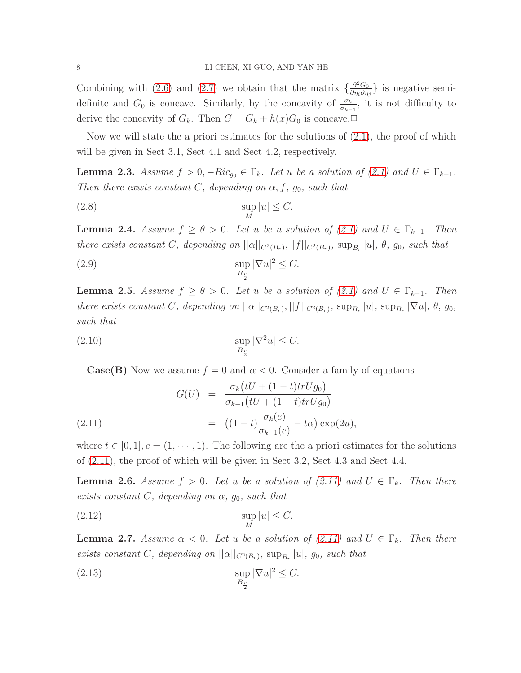Combining with [\(2.6\)](#page-6-2) and [\(2.7\)](#page-6-3) we obtain that the matrix  $\{\frac{\partial^2 G_0}{\partial m \partial n}$  $\frac{\partial^2 G_0}{\partial \eta_i \partial \eta_j}$ } is negative semidefinite and  $G_0$  is concave. Similarly, by the concavity of  $\frac{\sigma_k}{\sigma_{k-1}}$ , it is not difficulty to derive the concavity of  $G_k$ . Then  $G = G_k + h(x)G_0$  is concave.

Now we will state the a priori estimates for the solutions of  $(2.1)$ , the proof of which will be given in Sect 3.1, Sect 4.1 and Sect 4.2, respectively.

<span id="page-7-1"></span>**Lemma 2.3.** Assume  $f > 0$ ,  $-Ric_{g0} \in \Gamma_k$ . Let u be a solution of [\(2.1\)](#page-5-1) and  $U \in \Gamma_{k-1}$ . Then there exists constant C, depending on  $\alpha$ , f,  $g_0$ , such that

$$
\sup_{M}|u| \leq C.
$$

<span id="page-7-3"></span>**Lemma 2.4.** Assume  $f \ge \theta > 0$ . Let u be a solution of [\(2.1\)](#page-5-1) and  $U \in \Gamma_{k-1}$ . Then there exists constant C, depending on  $||\alpha||_{C^2(B_r)}, ||f||_{C^2(B_r)},$  sup<sub>B<sub>r</sub></sub> |u|,  $\theta$ , g<sub>0</sub>, such that

(2.9) 
$$
\sup_{B_{\frac{r}{2}}} |\nabla u|^2 \leq C.
$$

<span id="page-7-4"></span>**Lemma 2.5.** Assume  $f \ge \theta > 0$ . Let u be a solution of [\(2.1\)](#page-5-1) and  $U \in \Gamma_{k-1}$ . Then there exists constant C, depending on  $||\alpha||_{C^2(B_r)}, ||f||_{C^2(B_r)}, \sup_{B_r}|u|, \sup_{B_r}|\nabla u|, \theta, g_0$ , such that

$$
\sup_{B_{\frac{r}{2}}} |\nabla^2 u| \le C.
$$

<span id="page-7-0"></span>**Case(B)** Now we assume  $f = 0$  and  $\alpha < 0$ . Consider a family of equations

(2.11) 
$$
G(U) = \frac{\sigma_k \left(tU + (1-t)trUg_0\right)}{\sigma_{k-1}\left(tU + (1-t)trUg_0\right)} = \left((1-t)\frac{\sigma_k(e)}{\sigma_{k-1}(e)} - t\alpha\right) \exp(2u),
$$

where  $t \in [0, 1], e = (1, \dots, 1)$ . The following are the a priori estimates for the solutions of [\(2.11\)](#page-7-0), the proof of which will be given in Sect 3.2, Sect 4.3 and Sect 4.4.

<span id="page-7-2"></span>**Lemma 2.6.** Assume  $f > 0$ . Let u be a solution of [\(2.11\)](#page-7-0) and  $U \in \Gamma_k$ . Then there exists constant C, depending on  $\alpha$ ,  $g_0$ , such that

$$
\sup_{M}|u| \leq C.
$$

<span id="page-7-5"></span>**Lemma 2.7.** Assume  $\alpha < 0$ . Let u be a solution of [\(2.11\)](#page-7-0) and  $U \in \Gamma_k$ . Then there exists constant C, depending on  $||\alpha||_{C^2(B_r)}$ , sup<sub>B<sub>r</sub></sub> |u|, g<sub>0</sub>, such that

<span id="page-7-6"></span>(2.13) 
$$
\sup_{B_{\frac{r}{2}}} |\nabla u|^2 \leq C.
$$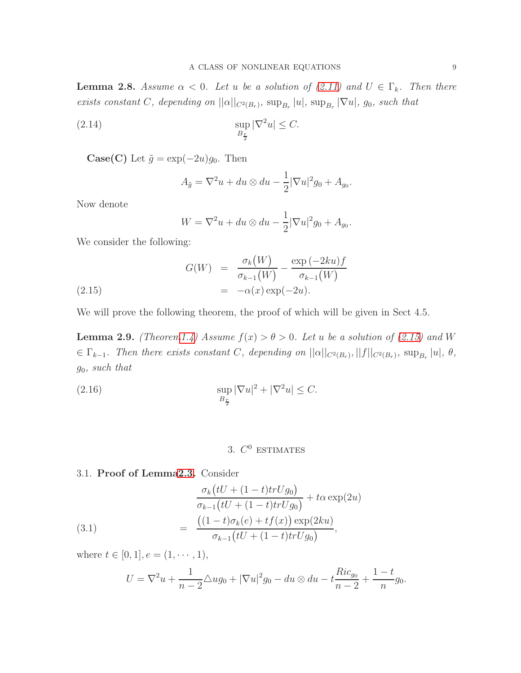<span id="page-8-2"></span>**Lemma 2.8.** Assume  $\alpha < 0$ . Let u be a solution of [\(2.11\)](#page-7-0) and  $U \in \Gamma_k$ . Then there exists constant C, depending on  $||\alpha||_{C^2(B_r)}$ ,  $\sup_{B_r}|u|$ ,  $\sup_{B_r}|\nabla u|$ ,  $g_0$ , such that

(2.14) 
$$
\sup_{B_{\frac{r}{2}}} |\nabla^2 u| \leq C.
$$

**Case(C)** Let  $\tilde{g} = \exp(-2u)g_0$ . Then

$$
A_{\tilde{g}} = \nabla^2 u + du \otimes du - \frac{1}{2} |\nabla u|^2 g_0 + A_{g_0}.
$$

Now denote

<span id="page-8-0"></span>
$$
W = \nabla^2 u + du \otimes du - \frac{1}{2} |\nabla u|^2 g_0 + A_{g_0}.
$$

We consider the following:

$$
G(W) = \frac{\sigma_k(W)}{\sigma_{k-1}(W)} - \frac{\exp(-2ku)f}{\sigma_{k-1}(W)}
$$
  
(2.15) = -\alpha(x) \exp(-2u).

We will prove the following theorem, the proof of which will be given in Sect 4.5.

<span id="page-8-3"></span>**Lemma 2.9.** (Theore[m1.4\)](#page-4-1) Assume  $f(x) > \theta > 0$ . Let u be a solution of [\(2.15\)](#page-8-0) and W  $\in \Gamma_{k-1}$ . Then there exists constant C, depending on  $||\alpha||_{C^2(B_r)}, ||f||_{C^2(B_r)}, \sup_{B_r} |u|, \theta$ ,  $g_0$ , such that

(2.16) 
$$
\sup_{B_{\frac{r}{2}}} |\nabla u|^2 + |\nabla^2 u| \leq C.
$$

# <span id="page-8-1"></span>3.  $C^0$  ESTIMATES

### 3.1. Proof of Lemm[a2.3.](#page-7-1) Consider

(3.1) 
$$
\frac{\sigma_k(tU + (1-t)trUg_0)}{\sigma_{k-1}(tU + (1-t)trUg_0)} + t\alpha \exp(2u) \n= \frac{((1-t)\sigma_k(e) + tf(x)) \exp(2ku)}{\sigma_{k-1}(tU + (1-t)trUg_0)},
$$

where  $t \in [0, 1], e = (1, \dots, 1),$ 

$$
U = \nabla^2 u + \frac{1}{n-2} \triangle u g_0 + |\nabla u|^2 g_0 - du \otimes du - t \frac{Ric_{g_0}}{n-2} + \frac{1-t}{n} g_0.
$$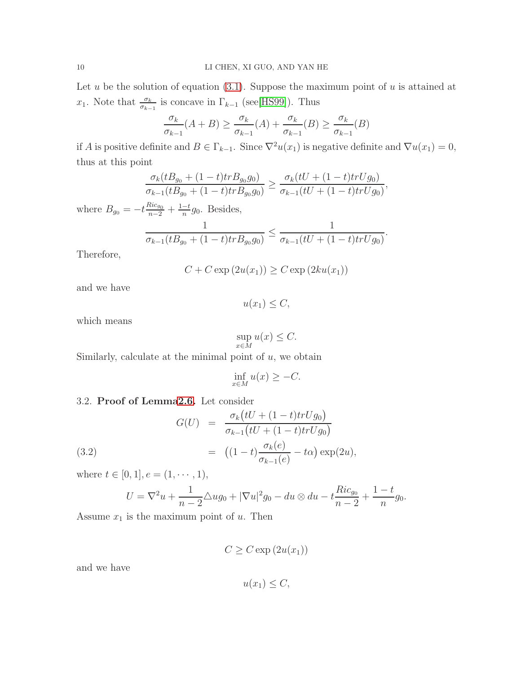Let u be the solution of equation  $(3.1)$ . Suppose the maximum point of u is attained at  $x_1$ . Note that  $\frac{\sigma_k}{\sigma_{k-1}}$  is concave in  $\Gamma_{k-1}$  (see[\[HS99\]](#page-27-17)). Thus

$$
\frac{\sigma_k}{\sigma_{k-1}}(A+B) \ge \frac{\sigma_k}{\sigma_{k-1}}(A) + \frac{\sigma_k}{\sigma_{k-1}}(B) \ge \frac{\sigma_k}{\sigma_{k-1}}(B)
$$

if A is positive definite and  $B \in \Gamma_{k-1}$ . Since  $\nabla^2 u(x_1)$  is negative definite and  $\nabla u(x_1) = 0$ , thus at this point

$$
\frac{\sigma_k(tB_{g_0} + (1-t)tr B_{g_0}g_0)}{\sigma_{k-1}(tB_{g_0} + (1-t)tr B_{g_0}g_0)} \ge \frac{\sigma_k(tU + (1-t)tr Ug_0)}{\sigma_{k-1}(tU + (1-t)tr Ug_0)},
$$

where  $B_{g_0} = -t \frac{Ric_{g_0}}{n-2} + \frac{1-t}{n}$  $\frac{-t}{n}g_0$ . Besides,

$$
\frac{1}{\sigma_{k-1}(tB_{g_0}+(1-t)trB_{g_0}g_0)} \leq \frac{1}{\sigma_{k-1}(tU+(1-t)trUg_0)}.
$$

Therefore,

$$
C + C \exp(2u(x_1)) \ge C \exp(2ku(x_1))
$$

and we have

$$
u(x_1) \le C,
$$

which means

$$
\sup_{x \in M} u(x) \le C.
$$

Similarly, calculate at the minimal point of  $u$ , we obtain

$$
\inf_{x \in M} u(x) \ge -C.
$$

## 3.2. Proof of Lemm[a2.6.](#page-7-2) Let consider

(3.2)  
\n
$$
G(U) = \frac{\sigma_k \left( tU + (1-t)trUg_0 \right)}{\sigma_{k-1} \left( tU + (1-t)trUg_0 \right)}
$$
\n
$$
= \left( (1-t) \frac{\sigma_k(e)}{\sigma_{k-1}(e)} - t\alpha \right) \exp(2u),
$$

where  $t \in [0, 1], e = (1, \dots, 1),$ 

$$
U = \nabla^2 u + \frac{1}{n-2} \triangle u g_0 + |\nabla u|^2 g_0 - du \otimes du - t \frac{Ric_{g_0}}{n-2} + \frac{1-t}{n} g_0.
$$

Assume  $x_1$  is the maximum point of  $u$ . Then

 $C \geq C \exp(2u(x_1))$ 

and we have

$$
u(x_1) \leq C,
$$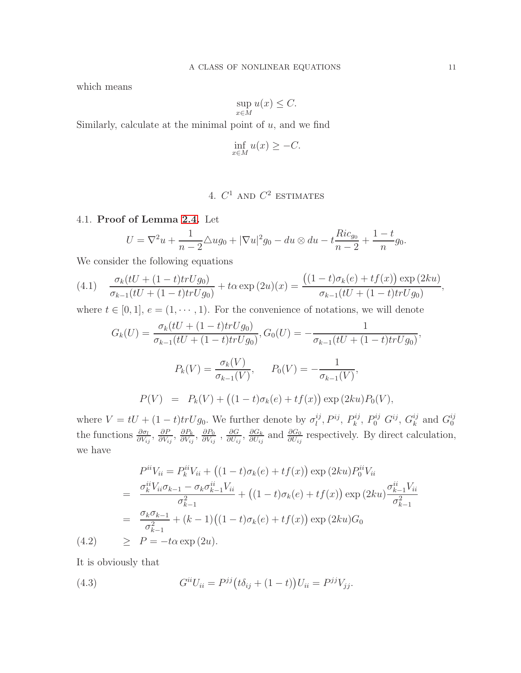which means

$$
\sup_{x \in M} u(x) \le C.
$$

Similarly, calculate at the minimal point of  $u$ , and we find

$$
\inf_{x \in M} u(x) \ge -C.
$$

# 4.  $C^1$  and  $C^2$  estimates

4.1. Proof of Lemma [2.4.](#page-7-3) Let

$$
U = \nabla^2 u + \frac{1}{n-2} \triangle u g_0 + |\nabla u|^2 g_0 - du \otimes du - t \frac{Ric_{g_0}}{n-2} + \frac{1-t}{n} g_0.
$$

We consider the following equations

<span id="page-10-0"></span>
$$
(4.1) \quad \frac{\sigma_k(tU + (1-t)trUg_0)}{\sigma_{k-1}(tU + (1-t)trUg_0)} + t\alpha \exp{(2u)(x)} = \frac{((1-t)\sigma_k(e) + tf(x))\exp{(2ku)}}{\sigma_{k-1}(tU + (1-t)trUg_0)},
$$

where  $t \in [0, 1], e = (1, \dots, 1)$ . For the convenience of notations, we will denote

$$
G_k(U) = \frac{\sigma_k(tU + (1-t)trUg_0)}{\sigma_{k-1}(tU + (1-t)trUg_0)}, G_0(U) = -\frac{1}{\sigma_{k-1}(tU + (1-t)trUg_0)},
$$
  

$$
P_k(V) = \frac{\sigma_k(V)}{\sigma_{k-1}(V)}, \qquad P_0(V) = -\frac{1}{\sigma_{k-1}(V)},
$$
  

$$
P(V) = P_k(V) + ((1-t)\sigma_k(e) + tf(x)) \exp(2ku)P_0(V),
$$

where  $V = tU + (1 - t)trUg_0$ . We further denote by  $\sigma_l^{ij}$  $l^{\,ij}, P^{ij}, P^{ij}_k$  $R_k^{ij},\ P_0^{ij}\ G^{ij},\ G_k^{ij}$  $_k^{ij}$  and  $G_0^{ij}$  $\theta$ the functions  $\frac{\partial \sigma_l}{\partial V_{ij}}$ ,  $\frac{\partial F}{\partial V_i}$  $\frac{\partial P}{\partial V_{ij}}, \frac{\partial P_k}{\partial V_{ij}}$  $\frac{\partial P_k}{\partial V_{ij}},\,\frac{\partial P_0}{\partial V_{ij}}$  $\frac{\partial P_0}{\partial V_{ij}}$  ,  $\frac{\partial G}{\partial U_{ij}}$  $\frac{\partial G}{\partial U_{ij}},\,\frac{\partial G_k}{\partial U_{ij}}$  $\frac{\partial G_k}{\partial U_{ij}}$  and  $\frac{\partial G_0}{\partial U_{ij}}$  respectively. By direct calculation, we have

<span id="page-10-1"></span>
$$
P^{ii}V_{ii} = P^{ii}_k V_{ii} + ((1-t)\sigma_k(e) + tf(x)) \exp(2ku) P_0^{ii} V_{ii}
$$
  
= 
$$
\frac{\sigma_k^{ii} V_{ii} \sigma_{k-1} - \sigma_k \sigma_{k-1}^{ii} V_{ii}}{\sigma_{k-1}^2} + ((1-t)\sigma_k(e) + tf(x)) \exp(2ku) \frac{\sigma_{k-1}^{ii} V_{ii}}{\sigma_{k-1}^2}
$$
  
= 
$$
\frac{\sigma_k \sigma_{k-1}}{\sigma_{k-1}^2} + (k-1)((1-t)\sigma_k(e) + tf(x)) \exp(2ku) G_0
$$
  

$$
\geq P = -t\alpha \exp(2u).
$$

It is obviously that

 $(4.2)$ 

<span id="page-10-2"></span>(4.3) 
$$
G^{ii}U_{ii} = P^{jj}(t\delta_{ij} + (1-t))U_{ii} = P^{jj}V_{jj}.
$$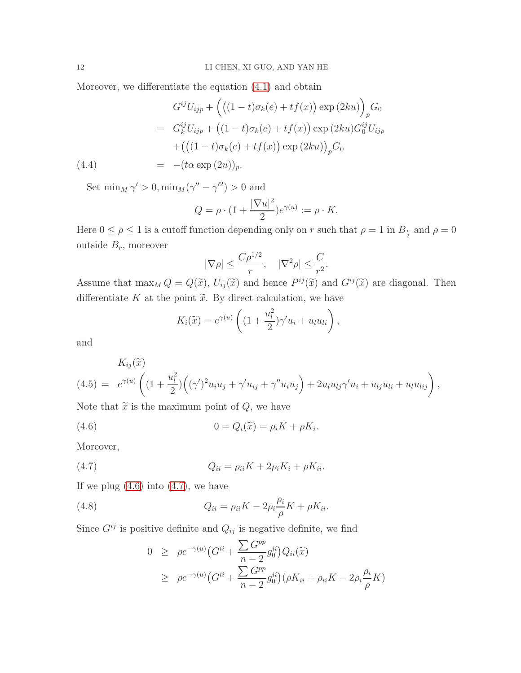Moreover, we differentiate the equation [\(4.1\)](#page-10-0) and obtain

<span id="page-11-4"></span>
$$
G^{ij}U_{ijp} + ((1-t)\sigma_k(e) + tf(x)) \exp(2ku))_p G_0
$$
  
=  $G_k^{ij}U_{ijp} + ((1-t)\sigma_k(e) + tf(x)) \exp(2ku)G_0^{ij}U_{ijp}$   
+  $((1-t)\sigma_k(e) + tf(x)) \exp(2ku))_p G_0$   
(4.4) =  $-(t\alpha \exp(2u))_p$ .

Set  $\min_M \gamma' > 0, \min_M (\gamma'' - \gamma'^2) > 0$  and

$$
Q = \rho \cdot (1 + \frac{|\nabla u|^2}{2})e^{\gamma(u)} := \rho \cdot K.
$$

Here  $0 \le \rho \le 1$  is a cutoff function depending only on r such that  $\rho = 1$  in  $B_{\frac{r}{2}}$  and  $\rho = 0$ outside  $B_r$ , moreover

$$
|\nabla \rho| \le \frac{C\rho^{1/2}}{r}, \quad |\nabla^2 \rho| \le \frac{C}{r^2}.
$$

Assume that  $\max_M Q = Q(\tilde{x})$ ,  $U_{ij}(\tilde{x})$  and hence  $P^{ij}(\tilde{x})$  and  $G^{ij}(\tilde{x})$  are diagonal. Then differentiate K at the point  $\tilde{x}$ . By direct calculation, we have

<span id="page-11-0"></span>
$$
K_i(\widetilde{x}) = e^{\gamma(u)} \left( (1 + \frac{u_l^2}{2})\gamma' u_i + u_l u_{li} \right),
$$

and

<span id="page-11-2"></span>
$$
K_{ij}(\widetilde{x})
$$
\n
$$
(4.5) = e^{\gamma(u)} \left( (1 + \frac{u_l^2}{2}) \left( (\gamma')^2 u_i u_j + \gamma' u_{ij} + \gamma'' u_i u_j \right) + 2u_l u_{lj} \gamma' u_i + u_{lj} u_{li} + u_l u_{lij} \right),
$$

Note that  $\tilde{x}$  is the maximum point of  $Q$ , we have

(4.6) 
$$
0 = Q_i(\widetilde{x}) = \rho_i K + \rho K_i.
$$

Moreover,

$$
(4.7) \tQ_{ii} = \rho_{ii}K + 2\rho_i K_i + \rho K_{ii}.
$$

If we plug  $(4.6)$  into  $(4.7)$ , we have

(4.8) 
$$
Q_{ii} = \rho_{ii}K - 2\rho_i \frac{\rho_i}{\rho} K + \rho K_{ii}.
$$

Since  $G^{ij}$  is positive definite and  $Q_{ij}$  is negative definite, we find

<span id="page-11-3"></span><span id="page-11-1"></span>
$$
0 \ge \rho e^{-\gamma(u)} \left( G^{ii} + \frac{\sum G^{pp}}{n-2} g_0^{ii} \right) Q_{ii}(\widetilde{x})
$$
  
 
$$
\ge \rho e^{-\gamma(u)} \left( G^{ii} + \frac{\sum G^{pp}}{n-2} g_0^{ii} \right) \left( \rho K_{ii} + \rho_{ii} K - 2\rho_i \frac{\rho_i}{\rho} K \right)
$$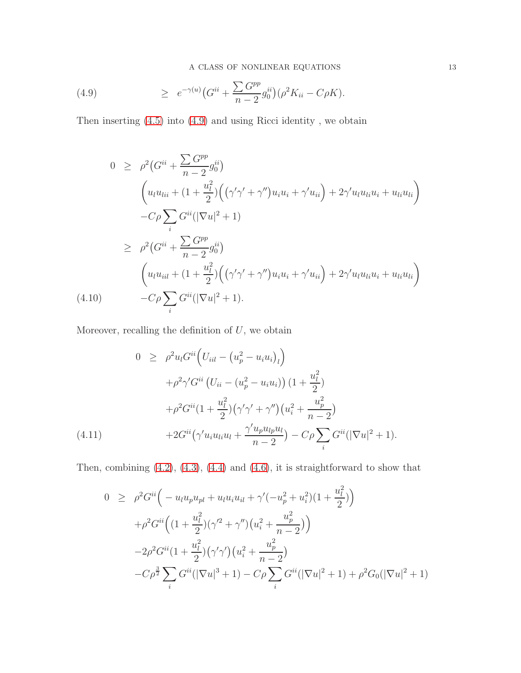(4.9) 
$$
\geq e^{-\gamma(u)} \big( G^{ii} + \frac{\sum G^{pp}}{n-2} g_0^{ii} \big) (\rho^2 K_{ii} - C \rho K).
$$

Then inserting [\(4.5\)](#page-11-2) into [\(4.9\)](#page-11-3) and using Ricci identity , we obtain

$$
0 \geq \rho^2 (G^{ii} + \frac{\sum G^{pp}}{n-2} g_0^{ii})
$$
  
\n
$$
\left(u_l u_{lii} + (1 + \frac{u_l^2}{2}) \Big( (\gamma' \gamma' + \gamma'') u_i u_i + \gamma' u_{ii} \Big) + 2 \gamma' u_l u_{li} u_i + u_{li} u_{li} \Big) - C \rho \sum_i G^{ii} (|\nabla u|^2 + 1)
$$
  
\n
$$
\geq \rho^2 (G^{ii} + \frac{\sum G^{pp}}{n-2} g_0^{ii})
$$
  
\n
$$
\left(u_l u_{iil} + (1 + \frac{u_l^2}{2}) \Big( (\gamma' \gamma' + \gamma'') u_i u_i + \gamma' u_{ii} \Big) + 2 \gamma' u_l u_{li} u_i + u_{li} u_{li} \right)
$$
  
\n(4.10) 
$$
-C \rho \sum_i G^{ii} (|\nabla u|^2 + 1).
$$

Moreover, recalling the definition of  $U$ , we obtain

$$
0 \geq \rho^2 u_l G^{ii} \Big( U_{iil} - (u_p^2 - u_i u_i)_l \Big) + \rho^2 \gamma' G^{ii} \left( U_{ii} - (u_p^2 - u_i u_i) \right) \left( 1 + \frac{u_l^2}{2} \right) + \rho^2 G^{ii} \left( 1 + \frac{u_l^2}{2} \right) \left( \gamma' \gamma' + \gamma'' \right) \left( u_i^2 + \frac{u_p^2}{n - 2} \right) + 2 G^{ii} \left( \gamma' u_i u_{li} u_l + \frac{\gamma' u_p u_{lp} u_l}{n - 2} \right) - C \rho \sum_i G^{ii} \left( |\nabla u|^2 + 1 \right).
$$

Then, combining  $(4.2)$ ,  $(4.3)$ ,  $(4.4)$  and  $(4.6)$ , it is straightforward to show that

<span id="page-12-0"></span>
$$
0 \geq \rho^2 G^{ii} \Big( -u_l u_p u_{pl} + u_l u_i u_{il} + \gamma' (-u_p^2 + u_i^2)(1 + \frac{u_l^2}{2}) \Big) + \rho^2 G^{ii} \Big( (1 + \frac{u_l^2}{2}) (\gamma'^2 + \gamma'') \big( u_i^2 + \frac{u_p^2}{n - 2} \big) \Big) - 2\rho^2 G^{ii} (1 + \frac{u_l^2}{2}) (\gamma' \gamma') \big( u_i^2 + \frac{u_p^2}{n - 2} \big) - C\rho^{\frac{3}{2}} \sum_i G^{ii} (|\nabla u|^3 + 1) - C\rho \sum_i G^{ii} (|\nabla u|^2 + 1) + \rho^2 G_0 (|\nabla u|^2 + 1)
$$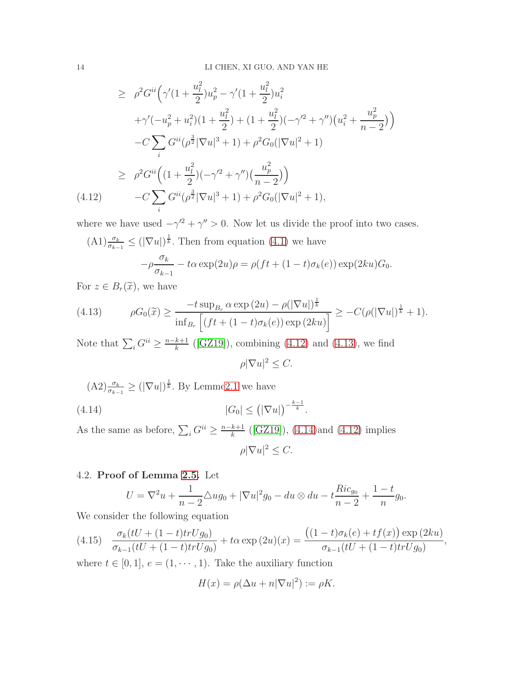$$
\geq \rho^2 G^{ii} \Big( \gamma'(1 + \frac{u_l^2}{2}) u_p^2 - \gamma'(1 + \frac{u_l^2}{2}) u_i^2 \n+ \gamma'(-u_p^2 + u_i^2)(1 + \frac{u_l^2}{2}) + (1 + \frac{u_l^2}{2})(-\gamma'^2 + \gamma'')(u_i^2 + \frac{u_p^2}{n-2}) \Big) \n- C \sum_i G^{ii} (\rho^{\frac{3}{2}} |\nabla u|^3 + 1) + \rho^2 G_0 (|\nabla u|^2 + 1) \n\geq \rho^2 G^{ii} \Big( (1 + \frac{u_l^2}{2})(-\gamma'^2 + \gamma'') \Big( \frac{u_p^2}{n-2} \Big) \Big) \n- C \sum_i G^{ii} (\rho^{\frac{3}{2}} |\nabla u|^3 + 1) + \rho^2 G_0 (|\nabla u|^2 + 1),
$$

where we have used  $-\gamma'^2 + \gamma'' > 0$ . Now let us divide the proof into two cases.

$$
\begin{aligned} \n\text{(A1)} \frac{\sigma_k}{\sigma_{k-1}} &\leq (\left|\nabla u\right|)^{\frac{1}{k}}. \text{ Then from equation (4.1) we have} \\ \n&\quad -\rho \frac{\sigma_k}{\sigma_{k-1}} - t\alpha \exp(2u)\rho = \rho (ft + (1-t)\sigma_k(e)) \exp(2ku)G_0. \n\end{aligned}
$$

For  $z \in B_r(\tilde{x})$ , we have

<span id="page-13-0"></span>
$$
(4.13) \qquad \rho G_0(\widetilde{x}) \ge \frac{-t \sup_{B_r} \alpha \exp(2u) - \rho(|\nabla u|)^{\frac{1}{k}}}{\inf_{B_r} \left[ (ft + (1-t)\sigma_k(e)) \exp(2ku) \right]} \ge -C(\rho(|\nabla u|)^{\frac{1}{k}} + 1).
$$

Note that  $\sum_i G^{ii} \geq \frac{n-k+1}{k}$  $\frac{k+1}{k}$  ([\[GZ19\]](#page-27-1)), combining [\(4.12\)](#page-12-0) and [\(4.13\)](#page-13-0), we find

<span id="page-13-1"></span> $\rho |\nabla u|^2 \leq C.$ 

 $(A2) \frac{\sigma_k}{\sigma_{k-1}} \geq (|\nabla u|)^{\frac{1}{k}}$ . By Lemm[e2.1](#page-5-0) we have

$$
(4.14) \t|G_0| \leq (|\nabla u|)^{-\frac{k-1}{k}}.
$$

As the same as before,  $\sum_i G^{ii} \ge \frac{n-k+1}{k}$  $\frac{k+1}{k}$  ([\[GZ19\]](#page-27-1)), [\(4.14\)](#page-13-1)and [\(4.12\)](#page-12-0) implies  $\rho |\nabla u|^2 \leq C.$ 

4.2. Proof of Lemma [2.5.](#page-7-4) Let

$$
U = \nabla^2 u + \frac{1}{n-2} \Delta u g_0 + |\nabla u|^2 g_0 - du \otimes du - t \frac{Ric_{g_0}}{n-2} + \frac{1-t}{n} g_0.
$$

We consider the following equation

<span id="page-13-2"></span>
$$
(4.15)\quad \frac{\sigma_k(tU + (1-t)trUg_0)}{\sigma_{k-1}(tU + (1-t)trUg_0)} + t\alpha \exp{(2u)(x)} = \frac{((1-t)\sigma_k(e) + tf(x))\exp{(2ku)}}{\sigma_{k-1}(tU + (1-t)trUg_0)},
$$

where  $t \in [0, 1], e = (1, \dots, 1)$ . Take the auxiliary function

$$
H(x) = \rho(\Delta u + n|\nabla u|^2) := \rho K.
$$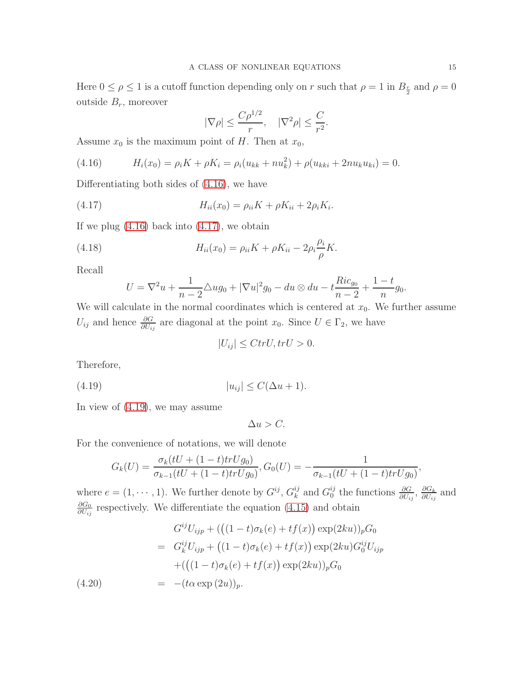Here  $0 \le \rho \le 1$  is a cutoff function depending only on r such that  $\rho = 1$  in  $B_{\frac{r}{2}}$  and  $\rho = 0$ outside  $B_r$ , moreover

<span id="page-14-1"></span>
$$
|\nabla \rho| \le \frac{C\rho^{1/2}}{r}, \quad |\nabla^2 \rho| \le \frac{C}{r^2}.
$$

Assume  $x_0$  is the maximum point of H. Then at  $x_0$ ,

<span id="page-14-0"></span>(4.16) 
$$
H_i(x_0) = \rho_i K + \rho K_i = \rho_i (u_{kk} + n u_k^2) + \rho (u_{kki} + 2n u_k u_{ki}) = 0.
$$

Differentiating both sides of [\(4.16\)](#page-14-0), we have

(4.17) 
$$
H_{ii}(x_0) = \rho_{ii} K + \rho K_{ii} + 2\rho_i K_i.
$$

If we plug  $(4.16)$  back into  $(4.17)$ , we obtain

(4.18) 
$$
H_{ii}(x_0) = \rho_{ii} K + \rho K_{ii} - 2\rho_i \frac{\rho_i}{\rho} K.
$$

Recall

<span id="page-14-3"></span>
$$
U = \nabla^2 u + \frac{1}{n-2} \triangle u g_0 + |\nabla u|^2 g_0 - du \otimes du - t \frac{Ric_{g_0}}{n-2} + \frac{1-t}{n} g_0.
$$

We will calculate in the normal coordinates which is centered at  $x_0$ . We further assume  $U_{ij}$  and hence  $\frac{\partial G}{\partial U_{ij}}$  are diagonal at the point  $x_0$ . Since  $U \in \Gamma_2$ , we have

<span id="page-14-2"></span>
$$
|U_{ij}| \leq C tr U, tr U > 0.
$$

Therefore,

$$
(4.19) \t\t |u_{ij}| \le C(\Delta u + 1).
$$

In view of [\(4.19\)](#page-14-2), we may assume

 $\Delta u > C$ .

For the convenience of notations, we will denote

$$
G_k(U) = \frac{\sigma_k(tU + (1-t)trUg_0)}{\sigma_{k-1}(tU + (1-t)trUg_0)}, G_0(U) = -\frac{1}{\sigma_{k-1}(tU + (1-t)trUg_0)},
$$

where  $e = (1, \dots, 1)$ . We further denote by  $G^{ij}$ ,  $G^{ij}_k$  $_k^{ij}$  and  $G_0^{ij}$ <sup>*ij*</sup> the functions  $\frac{\partial G}{\partial U_{ij}}$ ,  $\frac{\partial G_k}{\partial U_{ij}}$  $\frac{\partial G_k}{\partial U_{ij}}$  and  $\partial G_0$  $\frac{\partial G_0}{\partial U_{ij}}$  respectively. We differentiate the equation [\(4.15\)](#page-13-2) and obtain

<span id="page-14-4"></span>(4.20) 
$$
G^{ij}U_{ijp} + (( (1-t)\sigma_k(e) + tf(x)) \exp(2ku))_p G_0
$$

$$
= G^{ij}_k U_{ijp} + ((1-t)\sigma_k(e) + tf(x)) \exp(2ku) G_0^{ij} U_{ijp}
$$

$$
+ ((1-t)\sigma_k(e) + tf(x)) \exp(2ku))_p G_0
$$

$$
= -(t\alpha \exp(2u))_p.
$$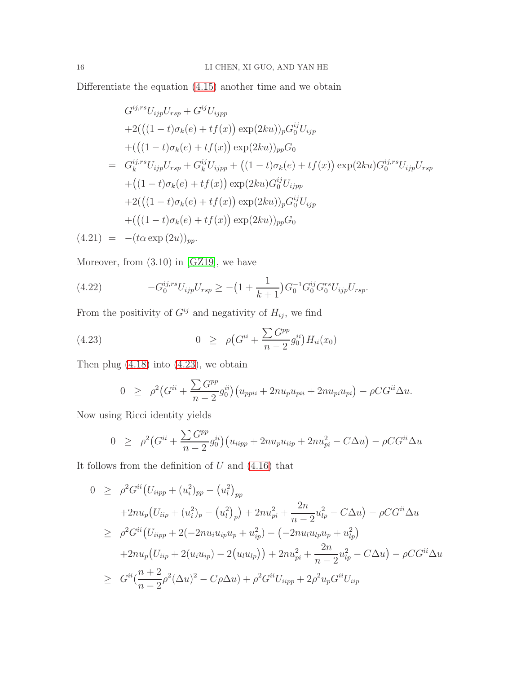Differentiate the equation [\(4.15\)](#page-13-2) another time and we obtain

<span id="page-15-1"></span>
$$
G^{ij,rs}U_{ijp}U_{rsp} + G^{ij}U_{ijpp}
$$
  
+2( $((1-t)\sigma_k(e) + tf(x)) \exp(2ku))_p G_0^{ij}U_{ijp}$   
+(( $(1-t)\sigma_k(e) + tf(x)) \exp(2ku))_{pp}G_0$   
=  $G_k^{ij,rs}U_{ijp}U_{rsp} + G_k^{ij}U_{ijpp} + ((1-t)\sigma_k(e) + tf(x)) \exp(2ku)G_0^{ij,rs}U_{ijp}U_{rsp}$   
+(( $1-t)\sigma_k(e) + tf(x)$ )  $\exp(2ku)G_0^{ij}U_{ijpp}$   
+2( $((1-t)\sigma_k(e) + tf(x)) \exp(2ku))_p G_0^{ij}U_{ijp}$   
+(( $(1-t)\sigma_k(e) + tf(x)$ )  $\exp(2ku))_{pp}G_0$ 

 $(4.21) = -(t\alpha \exp{(2u)})_{pp}.$ 

Moreover, from (3.10) in [\[GZ19\]](#page-27-1), we have

<span id="page-15-2"></span>(4.22) 
$$
-G_0^{ij,rs}U_{ijp}U_{rsp} \geq -(1+\frac{1}{k+1})G_0^{-1}G_0^{ij}G_0^{rs}U_{ijp}U_{rsp}.
$$

From the positivity of  $G^{ij}$  and negativity of  $H_{ij}$ , we find

(4.23) 
$$
0 \ge \rho \big(G^{ii} + \frac{\sum G^{pp}}{n-2} g_0^{ii}\big) H_{ii}(x_0)
$$

Then plug  $(4.18)$  into  $(4.23)$ , we obtain

<span id="page-15-0"></span>
$$
0 \ge \rho^2 (G^{ii} + \frac{\sum G^{pp}}{n-2} g_0^{ii}) (u_{ppii} + 2nu_p u_{pi} + 2nu_{pi} u_{pi}) - \rho C G^{ii} \Delta u.
$$

Now using Ricci identity yields

$$
0 \ge \rho^2 (G^{ii} + \frac{\sum G^{pp}}{n-2} g_0^{ii}) (u_{iipp} + 2nu_p u_{iip} + 2nu_{pi}^2 - C\Delta u) - \rho C G^{ii} \Delta u
$$

It follows from the definition of  $U$  and  $(4.16)$  that

$$
0 \geq \rho^2 G^{ii} (U_{iipp} + (u_i^2)_{pp} - (u_l^2)_{pp}
$$
  
+2n u<sub>p</sub> (U<sub>iip</sub> + (u<sub>i</sub><sup>2</sup>)<sub>p</sub> - (u<sub>l</sub><sup>2</sup>)<sub>p</sub>) + 2n u<sub>pi</sub><sup>2</sup> +  $\frac{2n}{n-2} u_{lp}^2 - C\Delta u$ ) -  $\rho C G^{ii} \Delta u$   

$$
\geq \rho^2 G^{ii} (U_{iipp} + 2(-2n u_i u_{ip} u_p + u_{ip}^2) - (-2n u_i u_{lp} u_p + u_{lp}^2)
$$
  
+2n u<sub>p</sub> (U<sub>iip</sub> + 2(u<sub>i</sub> u<sub>ip</sub>) - 2(u<sub>l</sub> u<sub>lp</sub>)) + 2n u<sub>pi</sub><sup>2</sup> +  $\frac{2n}{n-2} u_{lp}^2 - C\Delta u$ ) -  $\rho C G^{ii} \Delta u$   

$$
\geq G^{ii} (\frac{n+2}{n-2} \rho^2 (\Delta u)^2 - C\rho \Delta u) + \rho^2 G^{ii} U_{iipp} + 2\rho^2 u_p G^{ii} U_{iip}
$$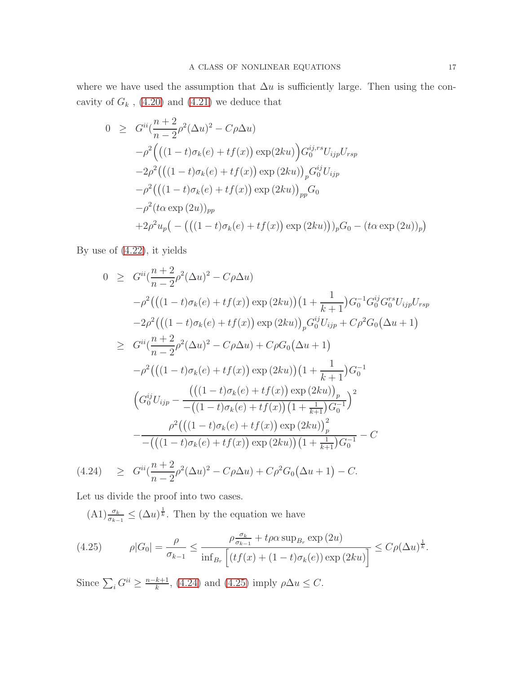where we have used the assumption that  $\Delta u$  is sufficiently large. Then using the concavity of  ${\cal G}_k$  , [\(4.20\)](#page-14-4) and [\(4.21\)](#page-15-1) we deduce that

$$
0 \geq G^{ii} \left( \frac{n+2}{n-2} \rho^2 (\Delta u)^2 - C \rho \Delta u \right)
$$
  
\n
$$
- \rho^2 \left( \left( (1-t) \sigma_k(e) + tf(x) \right) \exp(2ku) \right) G_0^{ij, rs} U_{ijp} U_{rsp}
$$
  
\n
$$
- 2 \rho^2 \left( \left( (1-t) \sigma_k(e) + tf(x) \right) \exp(2ku) \right)_{p} G_0^{ij} U_{ijp}
$$
  
\n
$$
- \rho^2 \left( \left( (1-t) \sigma_k(e) + tf(x) \right) \exp(2ku) \right)_{pp} G_0
$$
  
\n
$$
- \rho^2 (t \alpha \exp(2u))_{pp}
$$
  
\n
$$
+ 2 \rho^2 u_p \left( - \left( \left( (1-t) \sigma_k(e) + tf(x) \right) \exp(2ku) \right) \right)_{p} G_0 - (t \alpha \exp(2u))_{p}
$$

By use of [\(4.22\)](#page-15-2), it yields

<span id="page-16-0"></span>
$$
0 \geq G^{ii}(\frac{n+2}{n-2}\rho^{2}(\Delta u)^{2} - C\rho\Delta u)
$$
  
\n
$$
-\rho^{2}(((1-t)\sigma_{k}(e)+tf(x))\exp(2ku))(1+\frac{1}{k+1})G_{0}^{-1}G_{0}^{ij}G_{0}^{rs}U_{ijp}U_{rsp}
$$
  
\n
$$
-2\rho^{2}(((1-t)\sigma_{k}(e)+tf(x))\exp(2ku))_{p}G_{0}^{ij}U_{ijp} + C\rho^{2}G_{0}(\Delta u + 1)
$$
  
\n
$$
\geq G^{ii}(\frac{n+2}{n-2}\rho^{2}(\Delta u)^{2} - C\rho\Delta u) + C\rho G_{0}(\Delta u + 1)
$$
  
\n
$$
-\rho^{2}(((1-t)\sigma_{k}(e)+tf(x))\exp(2ku))(1+\frac{1}{k+1})G_{0}^{-1}
$$
  
\n
$$
(G_{0}^{ij}U_{ijp} - \frac{(((1-t)\sigma_{k}(e)+tf(x))\exp(2ku))_{p}}{-((1-t)\sigma_{k}(e)+tf(x))(1+\frac{1}{k+1})G_{0}^{-1}})^{2}
$$
  
\n
$$
-\frac{\rho^{2}(((1-t)\sigma_{k}(e)+tf(x))\exp(2ku))_{p}^{2}}{-((1-t)\sigma_{k}(e)+tf(x))\exp(2ku))(1+\frac{1}{k+1})G_{0}^{-1}} - C
$$
  
\n
$$
n+2
$$

(4.24) 
$$
\geq G^{ii}(\frac{n+2}{n-2}\rho^2(\Delta u)^2 - C\rho\Delta u) + C\rho^2 G_0(\Delta u + 1) - C.
$$

Let us divide the proof into two cases.

 $(A1) \frac{\sigma_k}{\sigma_{k-1}} \leq (\Delta u)^{\frac{1}{k}}$ . Then by the equation we have

<span id="page-16-1"></span>
$$
(4.25) \qquad \rho|G_0| = \frac{\rho}{\sigma_{k-1}} \le \frac{\rho \frac{\sigma_k}{\sigma_{k-1}} + t\rho \alpha \sup_{B_r} \exp(2u)}{\inf_{B_r} \left[ (tf(x) + (1-t)\sigma_k(e)) \exp(2ku) \right]} \le C\rho(\Delta u)^{\frac{1}{k}}.
$$

Since  $\sum_i G^{ii} \geq \frac{n-k+1}{k}$  $\frac{k+1}{k}$ , [\(4.24\)](#page-16-0) and [\(4.25\)](#page-16-1) imply  $\rho \Delta u \leq C$ .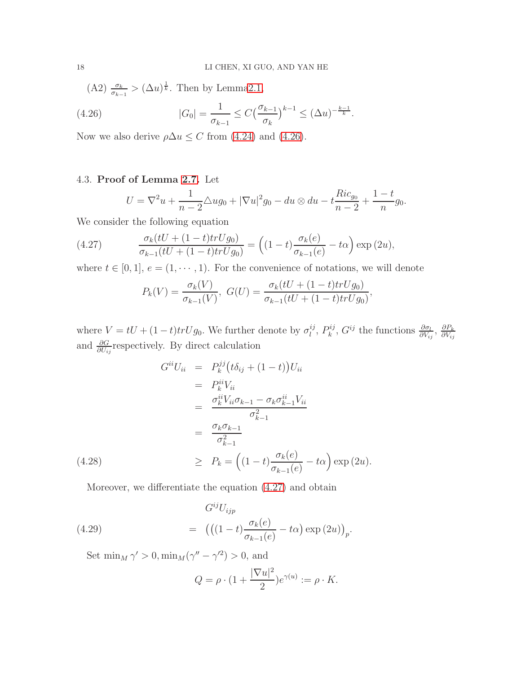<span id="page-17-0"></span>(A2)  $\frac{\sigma_k}{\sigma_{k-1}} > (\Delta u)^{\frac{1}{k}}$ . Then by Lemm[a2.1,](#page-5-0)

(4.26) 
$$
|G_0| = \frac{1}{\sigma_{k-1}} \le C \left(\frac{\sigma_{k-1}}{\sigma_k}\right)^{k-1} \le (\Delta u)^{-\frac{k-1}{k}}.
$$

Now we also derive  $\rho \Delta u \leq C$  from [\(4.24\)](#page-16-0) and [\(4.26\)](#page-17-0).

## 4.3. Proof of Lemma [2.7.](#page-7-5) Let

$$
U = \nabla^2 u + \frac{1}{n-2} \Delta u g_0 + |\nabla u|^2 g_0 - du \otimes du - t \frac{Ric_{g_0}}{n-2} + \frac{1-t}{n} g_0.
$$

We consider the following equation

(4.27) 
$$
\frac{\sigma_k(tU + (1-t)trUg_0)}{\sigma_{k-1}(tU + (1-t)trUg_0)} = ((1-t)\frac{\sigma_k(e)}{\sigma_{k-1}(e)} - t\alpha) \exp(2u),
$$

where  $t \in [0, 1], e = (1, \dots, 1)$ . For the convenience of notations, we will denote

<span id="page-17-2"></span><span id="page-17-1"></span>
$$
P_k(V) = \frac{\sigma_k(V)}{\sigma_{k-1}(V)}, \ G(U) = \frac{\sigma_k(tU + (1-t)trUg_0)}{\sigma_{k-1}(tU + (1-t)trUg_0)},
$$

where  $V = tU + (1 - t)trUg_0$ . We further denote by  $\sigma_l^{ij}$  $l^{\,ij},\,P_k^{\,ij}$  $\frac{\partial i}{\partial k}$ ,  $G^{ij}$  the functions  $\frac{\partial \sigma_l}{\partial V_{ij}}$ ,  $\frac{\partial P_k}{\partial V_{ij}}$  $\partial V_{ij}$ and  $\frac{\partial G}{\partial U_{ij}}$  respectively. By direct calculation

$$
G^{ii}U_{ii} = P_k^{jj}(t\delta_{ij} + (1-t))U_{ii}
$$
  
\n
$$
= P_k^{ii}V_{ii}
$$
  
\n
$$
= \frac{\sigma_k^{ii}V_{ii}\sigma_{k-1} - \sigma_k\sigma_{k-1}^{ii}V_{ii}}{\sigma_{k-1}^2}
$$
  
\n
$$
= \frac{\sigma_k\sigma_{k-1}}{\sigma_{k-1}^2}
$$
  
\n(4.28)  
\n
$$
\geq P_k = \left((1-t)\frac{\sigma_k(e)}{\sigma_{k-1}(e)} - t\alpha\right)\exp(2u).
$$

Moreover, we differentiate the equation [\(4.27\)](#page-17-1) and obtain

(4.29) 
$$
G^{ij}U_{ijp} = (( (1-t)\frac{\sigma_k(e)}{\sigma_{k-1}(e)} - t\alpha) \exp (2u))_p.
$$

Set  $\min_M \gamma' > 0, \min_M (\gamma'' - \gamma'^2) > 0$ , and

<span id="page-17-3"></span>
$$
Q = \rho \cdot (1 + \frac{|\nabla u|^2}{2})e^{\gamma(u)} := \rho \cdot K.
$$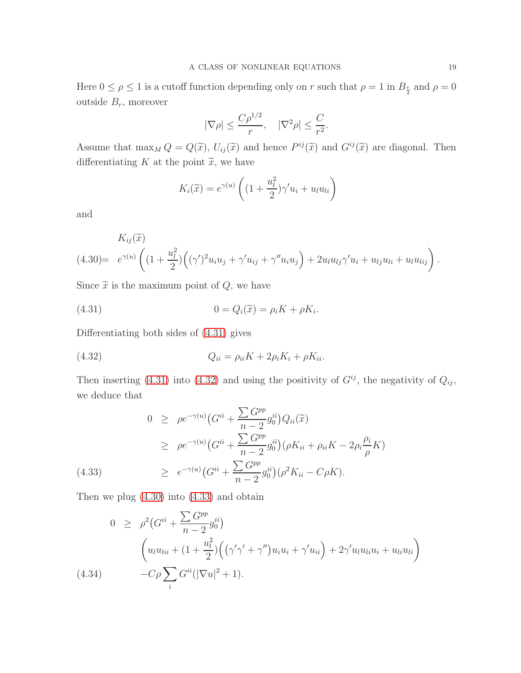Here  $0 \le \rho \le 1$  is a cutoff function depending only on r such that  $\rho = 1$  in  $B_{\frac{r}{2}}$  and  $\rho = 0$ outside  $B_r$ , moreover

$$
|\nabla \rho| \leq \frac{C\rho^{1/2}}{r}, \quad |\nabla^2 \rho| \leq \frac{C}{r^2}.
$$

Assume that  $\max_M Q = Q(\tilde{x})$ ,  $U_{ij}(\tilde{x})$  and hence  $P^{ij}(\tilde{x})$  and  $G^{ij}(\tilde{x})$  are diagonal. Then differentiating  $K$  at the point  $\widetilde{x}$ , we have

<span id="page-18-0"></span>
$$
K_i(\widetilde{x}) = e^{\gamma(u)} \left( (1 + \frac{u_l^2}{2}) \gamma' u_i + u_l u_{li} \right)
$$

and

<span id="page-18-2"></span>
$$
K_{ij}(\tilde{x}) = K_{ij}(\tilde{x}) + (4.30) = e^{\gamma(u)} \left( (1 + \frac{u_l^2}{2}) \left( (\gamma')^2 u_i u_j + \gamma' u_{ij} + \gamma'' u_i u_j \right) + 2u_l u_{lj} \gamma' u_i + u_{lj} u_{li} + u_l u_{lij} \right).
$$

Since  $\tilde{x}$  is the maximum point of  $Q$ , we have

(4.31) 
$$
0 = Q_i(\tilde{x}) = \rho_i K + \rho K_i.
$$

Differentiating both sides of [\(4.31\)](#page-18-0) gives

<span id="page-18-1"></span>
$$
(4.32) \tQ_{ii} = \rho_{ii}K + 2\rho_iK_i + \rho K_{ii}.
$$

Then inserting [\(4.31\)](#page-18-0) into [\(4.32\)](#page-18-1) and using the positivity of  $G^{ij}$ , the negativity of  $Q_{ij}$ , we deduce that

<span id="page-18-3"></span>(4.33) 
$$
0 \ge \rho e^{-\gamma(u)} \left( G^{ii} + \frac{\sum G^{pp}}{n-2} g_0^{ii} \right) Q_{ii}(\tilde{x})
$$
  
\n
$$
\ge \rho e^{-\gamma(u)} \left( G^{ii} + \frac{\sum G^{pp}}{n-2} g_0^{ii} \right) \left( \rho K_{ii} + \rho_{ii} K - 2 \rho_i \frac{\rho_i}{\rho} K \right)
$$
  
\n
$$
\ge e^{-\gamma(u)} \left( G^{ii} + \frac{\sum G^{pp}}{n-2} g_0^{ii} \right) \left( \rho^2 K_{ii} - C \rho K \right).
$$

Then we plug  $(4.30)$  into  $(4.33)$  and obtain

$$
0 \geq \rho^2 (G^{ii} + \frac{\sum G^{pp}}{n-2} g_0^{ii})
$$
  

$$
\left( u_l u_{lii} + (1 + \frac{u_l^2}{2}) \left( (\gamma' \gamma' + \gamma'') u_i u_i + \gamma' u_{ii} \right) + 2 \gamma' u_l u_{li} u_i + u_{li} u_{li} \right)
$$
  
(4.34) 
$$
-C \rho \sum_i G^{ii} (|\nabla u|^2 + 1).
$$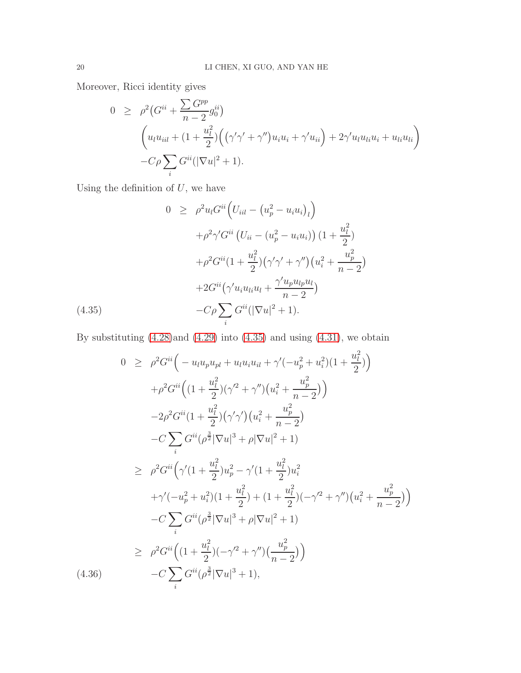Moreover, Ricci identity gives

$$
0 \geq \rho^2 (G^{ii} + \frac{\sum G^{pp}}{n-2} g_0^{ii})
$$
  

$$
\left( u_l u_{iil} + (1 + \frac{u_l^2}{2}) \left( (\gamma' \gamma' + \gamma'') u_i u_i + \gamma' u_{ii} \right) + 2 \gamma' u_l u_{li} u_i + u_{li} u_{li} \right)
$$
  

$$
- C \rho \sum_i G^{ii} (|\nabla u|^2 + 1).
$$

Using the definition of  $U$ , we have

<span id="page-19-0"></span>
$$
0 \geq \rho^2 u_l G^{ii} \Big( U_{iil} - \left( u_p^2 - u_i u_i \right)_l \Big) + \rho^2 \gamma' G^{ii} \left( U_{ii} - \left( u_p^2 - u_i u_i \right) \right) \left( 1 + \frac{u_l^2}{2} \right) + \rho^2 G^{ii} \left( 1 + \frac{u_l^2}{2} \right) \left( \gamma' \gamma' + \gamma'' \right) \left( u_i^2 + \frac{u_p^2}{n - 2} \right) + 2 G^{ii} \left( \gamma' u_i u_{li} u_l + \frac{\gamma' u_p u_{lp} u_l}{n - 2} \right) - C \rho \sum_i G^{ii} \left( |\nabla u|^2 + 1 \right).
$$

By substituting  $(4.28)$  and  $(4.29)$  into  $(4.35)$  and using  $(4.31)$ , we obtain

<span id="page-19-1"></span>
$$
0 \geq \rho^2 G^{ii} \Big( -u_l u_p u_{pl} + u_l u_i u_{il} + \gamma' (-u_p^2 + u_i^2)(1 + \frac{u_l^2}{2}) \Big) + \rho^2 G^{ii} \Big( (1 + \frac{u_l^2}{2})(\gamma'^2 + \gamma'') \big( u_i^2 + \frac{u_p^2}{n - 2} \big) \Big) - 2\rho^2 G^{ii} (1 + \frac{u_l^2}{2})(\gamma' \gamma') \big( u_i^2 + \frac{u_p^2}{n - 2} \big) - C \sum_i G^{ii} (\rho^{\frac{3}{2}} |\nabla u|^3 + \rho |\nabla u|^2 + 1) \geq \rho^2 G^{ii} \Big( \gamma' (1 + \frac{u_l^2}{2}) u_p^2 - \gamma' (1 + \frac{u_l^2}{2}) u_i^2 + \gamma' (-u_p^2 + u_i^2)(1 + \frac{u_l^2}{2}) + (1 + \frac{u_l^2}{2})(-\gamma'^2 + \gamma'') \big( u_i^2 + \frac{u_p^2}{n - 2} \big) \Big) - C \sum_i G^{ii} (\rho^{\frac{3}{2}} |\nabla u|^3 + \rho |\nabla u|^2 + 1) \geq \rho^2 G^{ii} \Big( (1 + \frac{u_l^2}{2}) (-\gamma'^2 + \gamma'') \big( \frac{u_p^2}{n - 2} \big) \Big) - C \sum_i G^{ii} (\rho^{\frac{3}{2}} |\nabla u|^3 + 1),
$$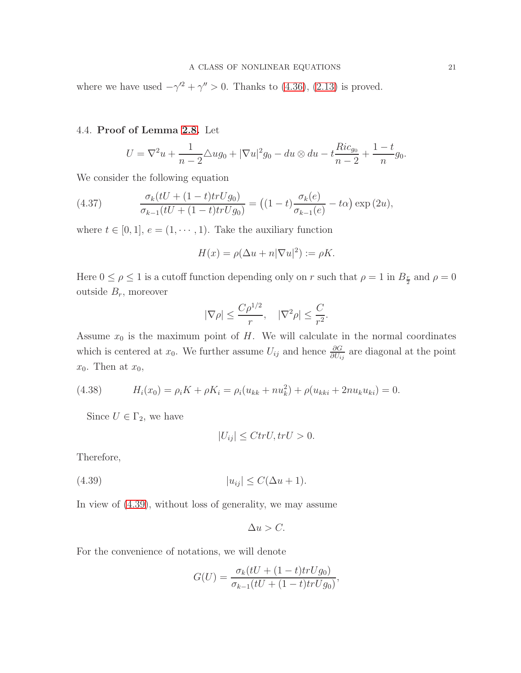where we have used  $-\gamma'^2 + \gamma'' > 0$ . Thanks to [\(4.36\)](#page-19-1), [\(2.13\)](#page-7-6) is proved.

### 4.4. Proof of Lemma [2.8.](#page-8-2) Let

<span id="page-20-1"></span>
$$
U = \nabla^2 u + \frac{1}{n-2} \triangle u g_0 + |\nabla u|^2 g_0 - du \otimes du - t \frac{Ric_{g_0}}{n-2} + \frac{1-t}{n} g_0.
$$

We consider the following equation

(4.37) 
$$
\frac{\sigma_k(tU + (1-t)trUg_0)}{\sigma_{k-1}(tU + (1-t)trUg_0)} = ((1-t)\frac{\sigma_k(e)}{\sigma_{k-1}(e)} - t\alpha) \exp(2u),
$$

where  $t \in [0, 1], e = (1, \dots, 1)$ . Take the auxiliary function

$$
H(x) = \rho(\Delta u + n|\nabla u|^2) := \rho K.
$$

Here  $0 \le \rho \le 1$  is a cutoff function depending only on r such that  $\rho = 1$  in  $B_{\frac{r}{2}}$  and  $\rho = 0$ outside  $B_r$ , moreover

$$
|\nabla \rho| \le \frac{C\rho^{1/2}}{r}, \quad |\nabla^2 \rho| \le \frac{C}{r^2}.
$$

Assume  $x_0$  is the maximum point of H. We will calculate in the normal coordinates which is centered at  $x_0$ . We further assume  $U_{ij}$  and hence  $\frac{\partial G}{\partial U_{ij}}$  are diagonal at the point  $x_0$ . Then at  $x_0$ ,

<span id="page-20-2"></span>(4.38) 
$$
H_i(x_0) = \rho_i K + \rho K_i = \rho_i (u_{kk} + n u_k^2) + \rho (u_{kki} + 2n u_k u_{ki}) = 0.
$$

Since  $U \in \Gamma_2$ , we have

<span id="page-20-0"></span>
$$
|U_{ij}| \leq C tr U, tr U > 0.
$$

Therefore,

$$
(4.39) \t\t |u_{ij}| \le C(\Delta u + 1).
$$

In view of [\(4.39\)](#page-20-0), without loss of generality, we may assume

$$
\Delta u > C.
$$

For the convenience of notations, we will denote

$$
G(U) = \frac{\sigma_k(tU + (1-t)trUg_0)}{\sigma_{k-1}(tU + (1-t)trUg_0)},
$$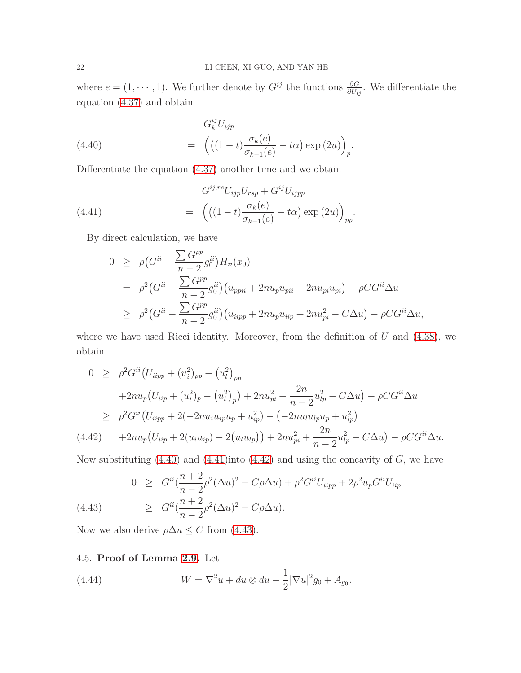where  $e = (1, \dots, 1)$ . We further denote by  $G^{ij}$  the functions  $\frac{\partial G}{\partial U_{ij}}$ . We differentiate the equation [\(4.37\)](#page-20-1) and obtain

<span id="page-21-0"></span>(4.40) 
$$
G_k^{ij} U_{ijp} = \left( \left( (1-t) \frac{\sigma_k(e)}{\sigma_{k-1}(e)} - t\alpha \right) \exp(2u) \right)_p.
$$

Differentiate the equation [\(4.37\)](#page-20-1) another time and we obtain

(4.41) 
$$
G^{ij,rs}U_{ijp}U_{rsp} + G^{ij}U_{ijpp}
$$

$$
= \left( \left( (1-t) \frac{\sigma_k(e)}{\sigma_{k-1}(e)} - t\alpha \right) \exp(2u) \right)_{pp}.
$$

By direct calculation, we have

<span id="page-21-1"></span>
$$
0 \geq \rho \left( G^{ii} + \frac{\sum G^{pp}}{n-2} g_0^{ii} \right) H_{ii}(x_0)
$$
  
=  $\rho^2 \left( G^{ii} + \frac{\sum G^{pp}}{n-2} g_0^{ii} \right) \left( u_{ppii} + 2n u_p u_{pi} + 2n u_{pi} u_{pi} \right) - \rho C G^{ii} \Delta u$   
 $\geq \rho^2 \left( G^{ii} + \frac{\sum G^{pp}}{n-2} g_0^{ii} \right) \left( u_{ipp} + 2n u_p u_{ip} + 2n u_{pi}^2 - C \Delta u \right) - \rho C G^{ii} \Delta u,$ 

where we have used Ricci identity. Moreover, from the definition of  $U$  and  $(4.38)$ , we obtain

<span id="page-21-2"></span>
$$
0 \geq \rho^2 G^{ii} (U_{iipp} + (u_i^2)_{pp} - (u_l^2)_{pp}
$$
  
+2n u<sub>p</sub> (U<sub>tip</sub> + (u<sub>i</sub><sup>2</sup>)<sub>p</sub> - (u<sub>l</sub><sup>2</sup>)<sub>p</sub>) + 2n u<sub>pi</sub><sup>2</sup> +  $\frac{2n}{n-2} u_{lp}^2 - C\Delta u$ ) -  $\rho C G^{ii} \Delta u$   

$$
\geq \rho^2 G^{ii} (U_{iipp} + 2(-2n u_i u_{ip} u_p + u_{ip}^2) - (-2n u_i u_{lp} u_p + u_{lp}^2))
$$
  
(4.42) +2n u<sub>p</sub> (U<sub>tip</sub> + 2(u<sub>i</sub> u<sub>ip</sub>) - 2(u<sub>l</sub> u<sub>lp</sub>)) + 2n u<sub>pi</sub><sup>2</sup> +  $\frac{2n}{n-2} u_{lp}^2 - C\Delta u$ ) -  $\rho C G^{ii} \Delta u$ .

Now substituting  $(4.40)$  and  $(4.41)$  into  $(4.42)$  and using the concavity of  $G$ , we have

<span id="page-21-3"></span>(4.43) 
$$
0 \geq G^{ii} \left( \frac{n+2}{n-2} \rho^2 (\Delta u)^2 - C \rho \Delta u \right) + \rho^2 G^{ii} U_{iipp} + 2 \rho^2 u_p G^{ii} U_{iip}
$$

$$
\geq G^{ii} \left( \frac{n+2}{n-2} \rho^2 (\Delta u)^2 - C \rho \Delta u \right).
$$

Now we also derive  $\rho \Delta u \leq C$  from [\(4.43\)](#page-21-3).

## 4.5. Proof of Lemma [2.9.](#page-8-3) Let

(4.44) 
$$
W = \nabla^2 u + du \otimes du - \frac{1}{2} |\nabla u|^2 g_0 + A_{g_0}.
$$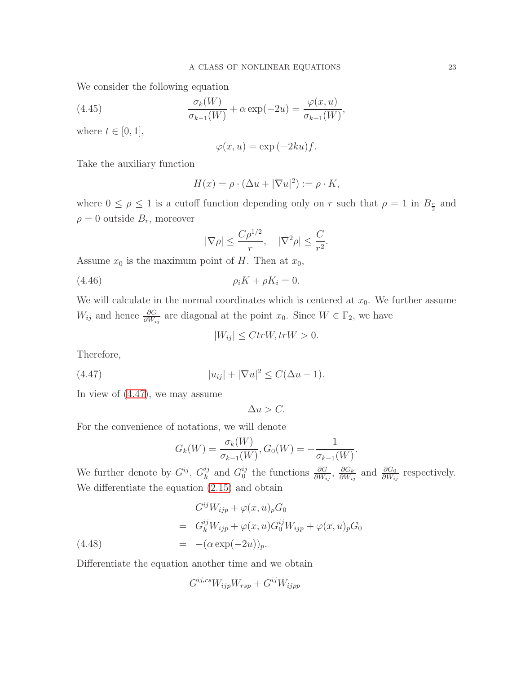We consider the following equation

(4.45) 
$$
\frac{\sigma_k(W)}{\sigma_{k-1}(W)} + \alpha \exp(-2u) = \frac{\varphi(x, u)}{\sigma_{k-1}(W)},
$$

where  $t \in [0, 1]$ ,

$$
\varphi(x, u) = \exp(-2ku)f.
$$

Take the auxiliary function

$$
H(x) = \rho \cdot (\Delta u + |\nabla u|^2) := \rho \cdot K,
$$

where  $0 \leq \rho \leq 1$  is a cutoff function depending only on r such that  $\rho = 1$  in  $B_{\frac{r}{2}}$  and  $\rho = 0$  outside  $B_r$ , moreover

<span id="page-22-1"></span>
$$
|\nabla \rho| \leq \frac{C \rho^{1/2}}{r}, \quad |\nabla^2 \rho| \leq \frac{C}{r^2}.
$$

Assume  $x_0$  is the maximum point of H. Then at  $x_0$ ,

$$
\rho_i K + \rho K_i = 0.
$$

We will calculate in the normal coordinates which is centered at  $x_0$ . We further assume  $W_{ij}$  and hence  $\frac{\partial G}{\partial W_{ij}}$  are diagonal at the point  $x_0$ . Since  $W \in \Gamma_2$ , we have

<span id="page-22-0"></span>
$$
|W_{ij}| \leq CtrW, trW > 0.
$$

Therefore,

(4.47) 
$$
|u_{ij}| + |\nabla u|^2 \le C(\Delta u + 1).
$$

In view of [\(4.47\)](#page-22-0), we may assume

 $\Delta u > C$ .

For the convenience of notations, we will denote

<span id="page-22-2"></span>
$$
G_k(W) = \frac{\sigma_k(W)}{\sigma_{k-1}(W)}, G_0(W) = -\frac{1}{\sigma_{k-1}(W)}
$$

.

We further denote by  $G^{ij}$ ,  $G^{ij}_k$  $_k^{ij}$  and  $G_0^{ij}$  $\frac{i}{0}$  the functions  $\frac{\partial G}{\partial W_{ij}}$ ,  $\frac{\partial G_k}{\partial W_{ij}}$  $\frac{\partial G_k}{\partial W_{ij}}$  and  $\frac{\partial G_0}{\partial W_{ij}}$  respectively. We differentiate the equation [\(2.15\)](#page-8-0) and obtain

(4.48)  
\n
$$
G^{ij}W_{ijp} + \varphi(x, u)_p G_0
$$
\n
$$
= G^{ij}_k W_{ijp} + \varphi(x, u) G^{ij}_0 W_{ijp} + \varphi(x, u)_p G_0
$$
\n
$$
= -(\alpha \exp(-2u))_p.
$$

Differentiate the equation another time and we obtain

<span id="page-22-3"></span>
$$
G^{ij,rs}W_{ijp}W_{rsp} + G^{ij}W_{ijpp}
$$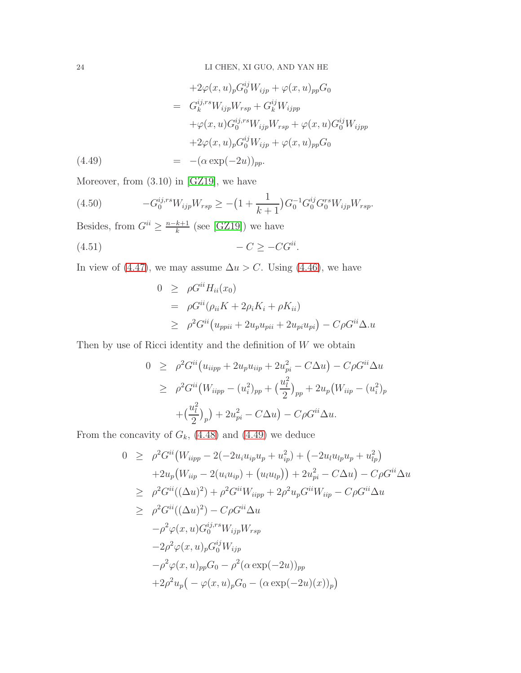$$
+2\varphi(x,u)_p G_0^{ij} W_{ijp} + \varphi(x,u)_{pp} G_0
$$
  
\n
$$
= G_k^{ij,rs} W_{ijp} W_{rsp} + G_k^{ij} W_{ijpp}
$$
  
\n
$$
+ \varphi(x,u) G_0^{ij,rs} W_{ijp} W_{rsp} + \varphi(x,u) G_0^{ij} W_{ijpp}
$$
  
\n
$$
+2\varphi(x,u)_p G_0^{ij} W_{ijp} + \varphi(x,u)_{pp} G_0
$$
  
\n(4.49) 
$$
= -(\alpha \exp(-2u))_{pp}.
$$

Moreover, from (3.10) in [\[GZ19\]](#page-27-1), we have

<span id="page-23-0"></span>(4.50) 
$$
-G_0^{ij,rs}W_{ijp}W_{rsp} \geq -(1+\frac{1}{k+1})G_0^{-1}G_0^{ij}G_0^{rs}W_{ijp}W_{rsp}.
$$

Besides, from  $G^{ii} \geq \frac{n-k+1}{k}$  $\frac{k+1}{k}$  (see [\[GZ19\]](#page-27-1)) we have

$$
(4.51)\qquad \qquad -C \ge -CG^{ii}.
$$

In view of [\(4.47\)](#page-22-0), we may assume  $\Delta u > C$ . Using [\(4.46\)](#page-22-1), we have

$$
0 \geq \rho G^{ii} H_{ii}(x_0)
$$
  
=  $\rho G^{ii} (\rho_{ii} K + 2\rho_i K_i + \rho K_{ii})$   

$$
\geq \rho^2 G^{ii} (u_{ppii} + 2u_p u_{pi} + 2u_{pi} u_{pi}) - C\rho G^{ii} \Delta.u
$$

Then by use of Ricci identity and the definition of  $W$  we obtain

$$
0 \geq \rho^2 G^{ii} (u_{iipp} + 2u_p u_{iip} + 2u_{pi}^2 - C\Delta u) - C\rho G^{ii} \Delta u
$$
  
\n
$$
\geq \rho^2 G^{ii} (W_{iipp} - (u_i^2)_{pp} + (\frac{u_i^2}{2})_{pp} + 2u_p (W_{iip} - (u_i^2)_{p})
$$
  
\n
$$
+ (\frac{u_i^2}{2})_p) + 2u_{pi}^2 - C\Delta u - C\rho G^{ii} \Delta u.
$$

From the concavity of  $G_k$ , [\(4.48\)](#page-22-2) and [\(4.49\)](#page-22-3) we deduce

$$
0 \geq \rho^2 G^{ii} (W_{iipp} - 2(-2u_i u_{ip} u_p + u_{ip}^2) + (-2u_l u_{lp} u_p + u_{lp}^2) + 2u_p (W_{iip} - 2(u_i u_{ip}) + (u_l u_{lp})) + 2u_{pi}^2 - C\Delta u) - C\rho G^{ii} \Delta u \geq \rho^2 G^{ii} ((\Delta u)^2) + \rho^2 G^{ii} W_{iipp} + 2\rho^2 u_p G^{ii} W_{iip} - C\rho G^{ii} \Delta u \geq \rho^2 G^{ii} ((\Delta u)^2) - C\rho G^{ii} \Delta u - \rho^2 \varphi(x, u) G_0^{ij, rs} W_{ijp} W_{rsp} - 2\rho^2 \varphi(x, u)_{p} G_0^{ij} W_{ijp} - \rho^2 \varphi(x, u)_{pp} G_0 - \rho^2 (\alpha \exp(-2u))_{pp} + 2\rho^2 u_p (-\varphi(x, u)_p G_0 - (\alpha \exp(-2u)(x))_p)
$$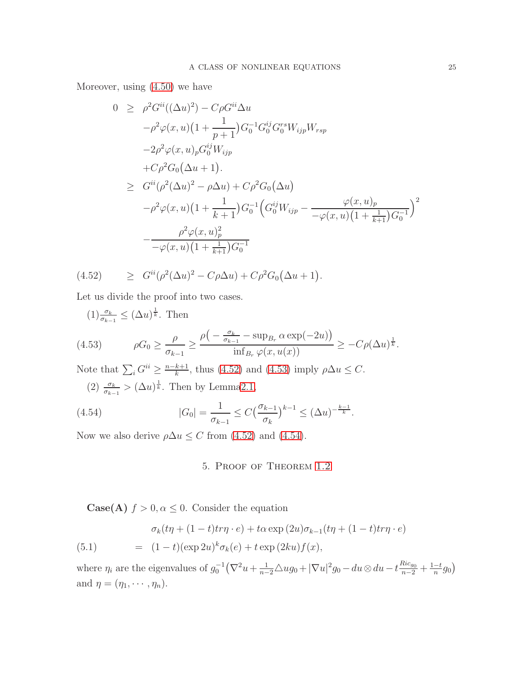Moreover, using [\(4.50\)](#page-23-0) we have

<span id="page-24-0"></span>
$$
0 \geq \rho^2 G^{ii}((\Delta u)^2) - C\rho G^{ii}\Delta u
$$
  
\n
$$
-\rho^2 \varphi(x, u)(1 + \frac{1}{p+1})G_0^{-1}G_0^{ij}G_0^{rs}W_{ijp}W_{rsp}
$$
  
\n
$$
-2\rho^2 \varphi(x, u)_p G_0^{ij}W_{ijp}
$$
  
\n
$$
+C\rho^2 G_0(\Delta u + 1).
$$
  
\n
$$
\geq G^{ii}(\rho^2(\Delta u)^2 - \rho \Delta u) + C\rho^2 G_0(\Delta u)
$$
  
\n
$$
-\rho^2 \varphi(x, u)(1 + \frac{1}{k+1})G_0^{-1}(G_0^{ij}W_{ijp} - \frac{\varphi(x, u)_p}{-\varphi(x, u)(1 + \frac{1}{k+1})G_0^{-1}})^2
$$
  
\n
$$
-\frac{\rho^2 \varphi(x, u)_p^2}{-\varphi(x, u)(1 + \frac{1}{k+1})G_0^{-1}}
$$

(4.52) 
$$
\geq G^{ii}(\rho^2(\Delta u)^2 - C\rho \Delta u) + C\rho^2 G_0(\Delta u + 1).
$$

Let us divide the proof into two cases.

<span id="page-24-1"></span>(1) 
$$
\frac{\sigma_k}{\sigma_{k-1}} \le (\Delta u)^{\frac{1}{k}}
$$
. Then  
\n(4.53)  $\rho G_0 \ge \frac{\rho}{\sigma_{k-1}} \ge \frac{\rho\left(-\frac{\sigma_k}{\sigma_{k-1}} - \sup_{B_r} \alpha \exp(-2u)\right)}{\inf_{B_r} \varphi(x, u(x))} \ge -C\rho(\Delta u)^{\frac{1}{k}}$ .

Note that  $\sum_i G^{ii} \geq \frac{n-k+1}{k}$  $\frac{k+1}{k}$ , thus [\(4.52\)](#page-24-0) and [\(4.53\)](#page-24-1) imply  $\rho \Delta u \leq C$ .  $(2)$   $\frac{\sigma_k}{\sigma_{k-1}} > (\Delta u)^{\frac{1}{k}}$ . Then by Lemm[a2.1,](#page-5-0)

(4.54) 
$$
|G_0| = \frac{1}{\sigma_{k-1}} \le C \left(\frac{\sigma_{k-1}}{\sigma_k}\right)^{k-1} \le (\Delta u)^{-\frac{k-1}{k}}.
$$

Now we also derive  $\rho \Delta u \leq C$  from [\(4.52\)](#page-24-0) and [\(4.54\)](#page-24-2).

## <span id="page-24-2"></span>5. Proof of Theorem [1.2](#page-3-2)

<span id="page-24-3"></span>**Case(A)**  $f > 0, \alpha \leq 0$ . Consider the equation

(5.1) 
$$
\sigma_k(t\eta + (1-t)tr\eta \cdot e) + t\alpha \exp(2u)\sigma_{k-1}(t\eta + (1-t)tr\eta \cdot e)
$$

$$
= (1-t)(\exp 2u)^k \sigma_k(e) + t \exp(2ku)f(x),
$$

where  $\eta_i$  are the eigenvalues of  $g_0^{-1}(\nabla^2 u + \frac{1}{n-2}\Delta u g_0 + |\nabla u|^2 g_0 - du \otimes du - t\frac{Ric_{g_0}}{n-2} + \frac{1-t}{n}$  $\frac{-t}{n}g_0$ and  $\eta = (\eta_1, \cdots, \eta_n)$ .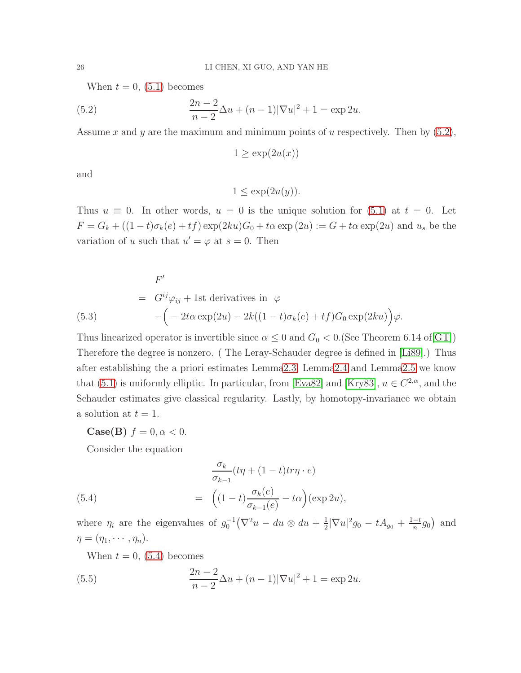When  $t = 0$ , [\(5.1\)](#page-24-3) becomes

(5.2) 
$$
\frac{2n-2}{n-2}\Delta u + (n-1)|\nabla u|^2 + 1 = \exp 2u.
$$

Assume x and y are the maximum and minimum points of u respectively. Then by  $(5.2)$ ,

<span id="page-25-0"></span>
$$
1 \ge \exp(2u(x))
$$

and

 $1 \leq \exp(2u(y)).$ 

Thus  $u \equiv 0$ . In other words,  $u = 0$  is the unique solution for [\(5.1\)](#page-24-3) at  $t = 0$ . Let  $F = G_k + ((1-t)\sigma_k(e) + tf) \exp(2ku)G_0 + t\alpha \exp(2u) := G + t\alpha \exp(2u)$  and  $u_s$  be the variation of u such that  $u' = \varphi$  at  $s = 0$ . Then

(5.3)  
\n
$$
F'
$$
\n
$$
= G^{ij}\varphi_{ij} + 1st derivatives in \varphi
$$
\n
$$
-(-2t\alpha \exp(2u) - 2k((1-t)\sigma_k(e) + tf)G_0 \exp(2ku))\varphi.
$$

Thus linearized operator is invertible since  $\alpha \leq 0$  and  $G_0 < 0$ . (See Theorem 6.14 of [\[GT\]](#page-27-18)) Therefore the degree is nonzero. ( The Leray-Schauder degree is defined in [\[Li89\]](#page-27-19).) Thus after establishing the a priori estimates Lemm[a2.3,](#page-7-1) Lemm[a2.4](#page-7-3) and Lemm[a2.5](#page-7-4) we know that [\(5.1\)](#page-24-3) is uniformly elliptic. In particular, from [\[Eva82\]](#page-26-12) and [\[Kry83\]](#page-27-20),  $u \in C^{2,\alpha}$ , and the Schauder estimates give classical regularity. Lastly, by homotopy-invariance we obtain a solution at  $t = 1$ .

Case(B)  $f = 0, \alpha < 0$ .

<span id="page-25-1"></span>Consider the equation

(5.4)  
\n
$$
\frac{\sigma_k}{\sigma_{k-1}}(t\eta + (1-t)t\tau\eta \cdot e)
$$
\n
$$
= \left( (1-t)\frac{\sigma_k(e)}{\sigma_{k-1}(e)} - t\alpha \right) (\exp 2u),
$$

where  $\eta_i$  are the eigenvalues of  $g_0^{-1}(\nabla^2 u - du \otimes du + \frac{1}{2})$  $\frac{1}{2}|\nabla u|^2 g_0 - tA_{g_0} + \frac{1-t}{n}$  $\frac{-t}{n}g_0$  and  $\eta = (\eta_1, \cdots, \eta_n).$ 

<span id="page-25-2"></span>When  $t = 0$ , [\(5.4\)](#page-25-1) becomes

(5.5) 
$$
\frac{2n-2}{n-2}\Delta u + (n-1)|\nabla u|^2 + 1 = \exp 2u.
$$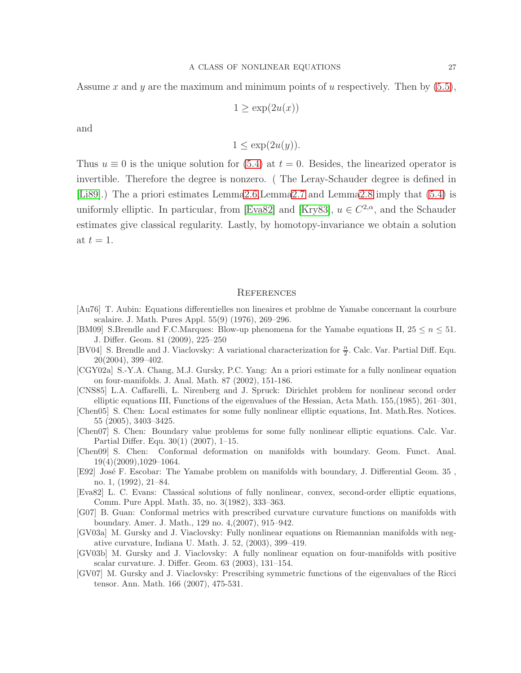Assume x and y are the maximum and minimum points of u respectively. Then by  $(5.5)$ ,

$$
1 \ge \exp(2u(x))
$$

and

$$
1 \le \exp(2u(y)).
$$

Thus  $u \equiv 0$  is the unique solution for [\(5.4\)](#page-25-1) at  $t = 0$ . Besides, the linearized operator is invertible. Therefore the degree is nonzero. ( The Leray-Schauder degree is defined in [\[Li89\]](#page-27-19).) The a priori estimates Lemm[a2.6,](#page-7-2)Lemm[a2.7](#page-7-5) and Lemm[a2.8](#page-8-2) imply that [\(5.4\)](#page-25-1) is uniformly elliptic. In particular, from [\[Eva82\]](#page-26-12) and [\[Kry83\]](#page-27-20),  $u \in C^{2,\alpha}$ , and the Schauder estimates give classical regularity. Lastly, by homotopy-invariance we obtain a solution at  $t = 1$ .

#### **REFERENCES**

- <span id="page-26-0"></span>[Au76] T. Aubin: Equations differentielles non lineaires et problme de Yamabe concernant la courbure scalaire. J. Math. Pures Appl. 55(9) (1976), 269–296.
- <span id="page-26-2"></span>[BM09] S.Brendle and F.C.Marques: Blow-up phenomena for the Yamabe equations II,  $25 \le n \le 51$ . J. Differ. Geom. 81 (2009), 225–250
- <span id="page-26-4"></span>[BV04] S. Brendle and J. Viaclovsky: A variational characterization for  $\frac{n}{2}$ . Calc. Var. Partial Diff. Equ. 20(2004), 399–402.
- <span id="page-26-3"></span>[CGY02a] S.-Y.A. Chang, M.J. Gursky, P.C. Yang: An a priori estimate for a fully nonlinear equation on four-manifolds. J. Anal. Math. 87 (2002), 151-186.
- <span id="page-26-11"></span>[CNS85] L.A. Caffarelli, L. Nirenberg and J. Spruck: Dirichlet problem for nonlinear second order elliptic equations III, Functions of the eigenvalues of the Hessian, Acta Math. 155,(1985), 261–301,
- <span id="page-26-9"></span>[Chen05] S. Chen: Local estimates for some fully nonlinear elliptic equations, Int. Math.Res. Notices. 55 (2005), 3403–3425.
- <span id="page-26-7"></span>[Chen07] S. Chen: Boundary value problems for some fully nonlinear elliptic equations. Calc. Var. Partial Differ. Equ. 30(1) (2007), 1–15.
- <span id="page-26-6"></span>[Chen09] S. Chen: Conformal deformation on manifolds with boundary. Geom. Funct. Anal. 19(4)(2009),1029–1064.
- <span id="page-26-1"></span>[E92] José F. Escobar: The Yamabe problem on manifolds with boundary, J. Differential Geom. 35, no. 1, (1992), 21–84.
- <span id="page-26-12"></span>[Eva82] L. C. Evans: Classical solutions of fully nonlinear, convex, second-order elliptic equations, Comm. Pure Appl. Math. 35, no. 3(1982), 333–363.
- <span id="page-26-10"></span>[G07] B. Guan: Conformal metrics with prescribed curvature curvature functions on manifolds with boundary. Amer. J. Math., 129 no. 4,(2007), 915–942.
- <span id="page-26-8"></span>[GV03a] M. Gursky and J. Viaclovsky: Fully nonlinear equations on Riemannian manifolds with negative curvature, Indiana U. Math. J. 52, (2003), 399–419.
- [GV03b] M. Gursky and J. Viaclovsky: A fully nonlinear equation on four-manifolds with positive scalar curvature. J. Differ. Geom. 63 (2003), 131–154.
- <span id="page-26-5"></span>[GV07] M. Gursky and J. Viaclovsky: Prescribing symmetric functions of the eigenvalues of the Ricci tensor. Ann. Math. 166 (2007), 475-531.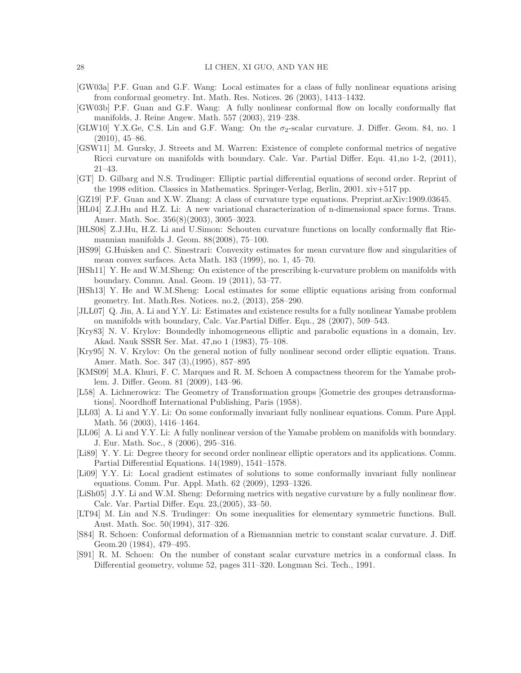- <span id="page-27-12"></span>[GW03a] P.F. Guan and G.F. Wang: Local estimates for a class of fully nonlinear equations arising from conformal geometry. Int. Math. Res. Notices. 26 (2003), 1413–1432.
- <span id="page-27-4"></span>[GW03b] P.F. Guan and G.F. Wang: A fully nonlinear conformal flow on locally conformally flat manifolds, J. Reine Angew. Math. 557 (2003), 219–238.
- <span id="page-27-9"></span>[GLW10] Y.X.Ge, C.S. Lin and G.F. Wang: On the  $\sigma_2$ -scalar curvature. J. Differ. Geom. 84, no. 1  $(2010), 45-86.$
- [GSW11] M. Gursky, J. Streets and M. Warren: Existence of complete conformal metrics of negative Ricci curvature on manifolds with boundary. Calc. Var. Partial Differ. Equ. 41,no 1-2, (2011), 21–43.
- <span id="page-27-18"></span>[GT] D. Gilbarg and N.S. Trudinger: Elliptic partial differential equations of second order. Reprint of the 1998 edition. Classics in Mathematics. Springer-Verlag, Berlin, 2001. xiv+517 pp.
- <span id="page-27-1"></span>[GZ19] P.F. Guan and X.W. Zhang: A class of curvature type equations. Preprint.arXiv:1909.03645.
- <span id="page-27-6"></span>[HL04] Z.J.Hu and H.Z. Li: A new variational characterization of n-dimensional space forms. Trans. Amer. Math. Soc. 356(8)(2003), 3005–3023.
- <span id="page-27-7"></span>[HLS08] Z.J.Hu, H.Z. Li and U.Simon: Schouten curvature functions on locally conformally flat Riemannian manifolds J. Geom. 88(2008), 75–100.
- <span id="page-27-17"></span>[HS99] G.Huisken and C. Sinestrari: Convexity estimates for mean curvature flow and singularities of mean convex surfaces. Acta Math. 183 (1999), no. 1, 45–70.
- <span id="page-27-10"></span>[HSh11] Y. He and W.M.Sheng: On existence of the prescribing k-curvature problem on manifolds with boundary. Commu. Anal. Geom. 19 (2011), 53–77.
- <span id="page-27-15"></span>[HSh13] Y. He and W.M.Sheng: Local estimates for some elliptic equations arising from conformal geometry. Int. Math.Res. Notices. no.2, (2013), 258–290.
- <span id="page-27-13"></span>[JLL07] Q. Jin, A. Li and Y.Y. Li: Estimates and existence results for a fully nonlinear Yamabe problem on manifolds with boundary, Calc. Var.Partial Differ. Equ., 28 (2007), 509–543.
- <span id="page-27-20"></span>[Kry83] N. V. Krylov: Boundedly inhomogeneous elliptic and parabolic equations in a domain, Izv. Akad. Nauk SSSR Ser. Mat. 47,no 1 (1983), 75–108.
- <span id="page-27-0"></span>[Kry95] N. V. Krylov: On the general notion of fully nonlinear second order elliptic equation. Trans. Amer. Math. Soc. 347 (3),(1995), 857–895
- <span id="page-27-3"></span>[KMS09] M.A. Khuri, F. C. Marques and R. M. Schoen A compactness theorem for the Yamabe problem. J. Differ. Geom. 81 (2009), 143–96.
- <span id="page-27-8"></span>[L58] A. Lichnerowicz: The Geometry of Transformation groups [Gometrie des groupes detransformations]. Noordhoff International Publishing, Paris (1958).
- <span id="page-27-5"></span>[LL03] A. Li and Y.Y. Li: On some conformally invariant fully nonlinear equations. Comm. Pure Appl. Math. 56 (2003), 1416–1464.
- <span id="page-27-14"></span>[LL06] A. Li and Y.Y. Li: A fully nonlinear version of the Yamabe problem on manifolds with boundary. J. Eur. Math. Soc., 8 (2006), 295–316.
- <span id="page-27-19"></span>[Li89] Y. Y. Li: Degree theory for second order nonlinear elliptic operators and its applications. Comm. Partial Differential Equations. 14(1989), 1541–1578.
- [Li09] Y.Y. Li: Local gradient estimates of solutions to some conformally invariant fully nonlinear equations. Comm. Pur. Appl. Math. 62 (2009), 1293–1326.
- <span id="page-27-11"></span>[LiSh05] J.Y. Li and W.M. Sheng: Deforming metrics with negative curvature by a fully nonlinear flow. Calc. Var. Partial Differ. Equ. 23,(2005), 33–50.
- <span id="page-27-16"></span>[LT94] M. Lin and N.S. Trudinger: On some inequalities for elementary symmetric functions. Bull. Aust. Math. Soc. 50(1994), 317–326.
- <span id="page-27-2"></span>[S84] R. Schoen: Conformal deformation of a Riemannian metric to constant scalar curvature. J. Diff. Geom.20 (1984), 479–495.
- [S91] R. M. Schoen: On the number of constant scalar curvature metrics in a conformal class. In Differential geometry, volume 52, pages 311–320. Longman Sci. Tech., 1991.